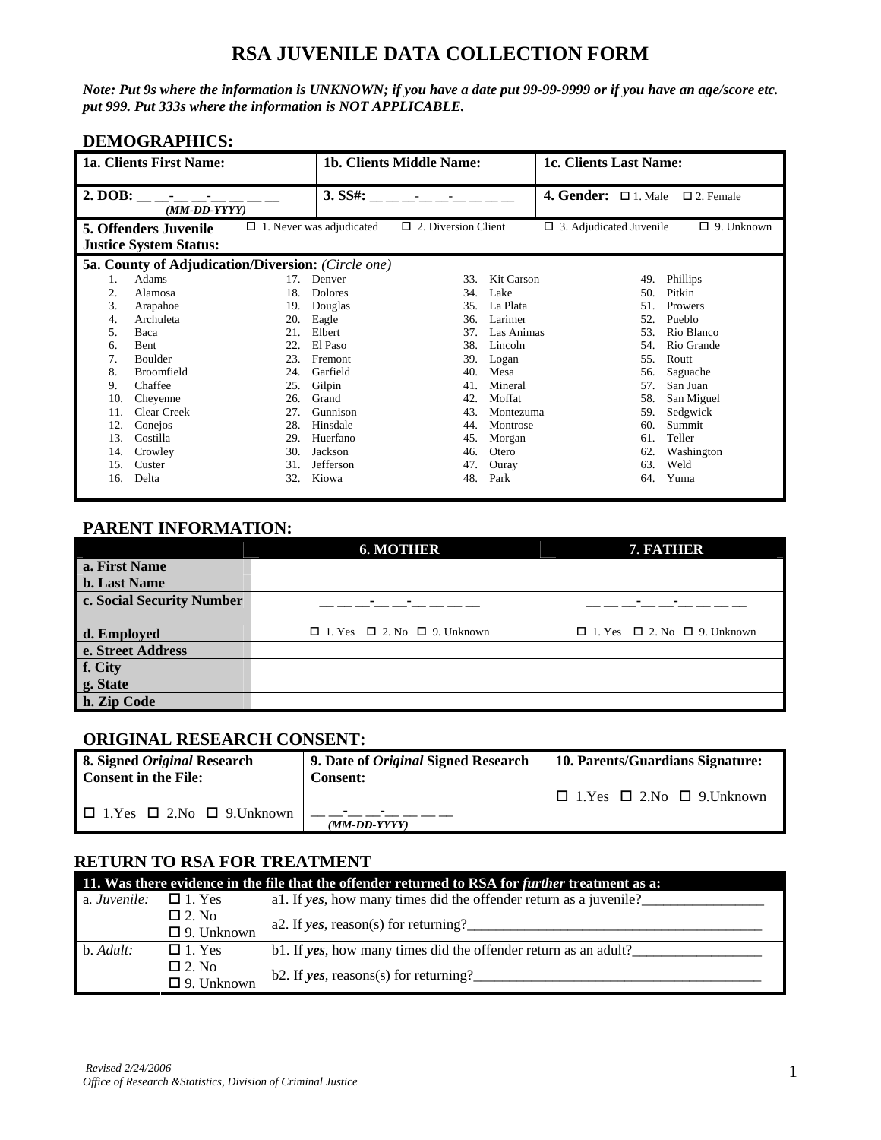# **RSA JUVENILE DATA COLLECTION FORM**

*Note: Put 9s where the information is UNKNOWN; if you have a date put 99-99-9999 or if you have an age/score etc. put 999. Put 333s where the information is NOT APPLICABLE.* 

## **DEMOGRAPHICS:**

|         | 1a. Clients First Name:                                                               |                                 |                | 1b. Clients Middle Name:   |            | 1c. Clients Last Name:         |                   |  |
|---------|---------------------------------------------------------------------------------------|---------------------------------|----------------|----------------------------|------------|--------------------------------|-------------------|--|
| 2. DOB: | $\mathcal{L}_{\rm{max}}$ and $\mathcal{L}_{\rm{max}}$<br>$(MM\text{-}DD\text{-}YYYY)$ |                                 | 3. SSE:        |                            |            | 4. Gender: $\Box$ 1. Male      | $\Box$ 2. Female  |  |
|         | <b>5. Offenders Juvenile</b><br><b>Justice System Status:</b>                         | $\Box$ 1. Never was adjudicated |                | $\Box$ 2. Diversion Client |            | $\Box$ 3. Adjudicated Juvenile | $\Box$ 9. Unknown |  |
|         | <b>5a. County of Adjudication/Diversion:</b> (Circle one)                             |                                 |                |                            |            |                                |                   |  |
| 1.      | Adams                                                                                 | 17.                             | Denver         | 33.                        | Kit Carson | 49.                            | Phillips          |  |
| 2.      | Alamosa                                                                               | 18.                             | <b>Dolores</b> | 34.                        | Lake       | 50.                            | Pitkin            |  |
| 3.      | Arapahoe                                                                              | 19.                             | Douglas        | 35.                        | La Plata   | 51.<br>Prowers                 |                   |  |
| 4.      | Archuleta                                                                             | 20.                             | Eagle          | 36.                        | Larimer    | 52.                            | Pueblo            |  |
| 5.      | Baca                                                                                  | 21.                             | Elbert         | 37.                        | Las Animas | 53.                            | Rio Blanco        |  |
| 6.      | <b>Bent</b>                                                                           | 22                              | El Paso        | 38.                        | Lincoln    | 54.                            | Rio Grande        |  |
| 7.      | <b>Boulder</b>                                                                        | 23.                             | Fremont        | 39.                        | Logan      | 55.                            | Routt             |  |
| 8.      | <b>Broomfield</b>                                                                     | 24.                             | Garfield       | 40.                        | Mesa       | 56.                            | Saguache          |  |
| 9.      | Chaffee                                                                               | 25.                             | Gilpin         | 41.                        | Mineral    | 57.                            | San Juan          |  |
| 10.     | Chevenne                                                                              | 26.                             | Grand          | 42.                        | Moffat     | 58.                            | San Miguel        |  |
| 11.     | <b>Clear Creek</b>                                                                    | 27.                             | Gunnison       | 43.                        | Montezuma  | 59.                            | Sedgwick          |  |
| 12.     | Conejos                                                                               | 28.                             | Hinsdale       | 44.                        | Montrose   | 60.                            | Summit            |  |
| 13.     | Costilla                                                                              | 29.                             | Huerfano       | 45.                        | Morgan     | 61.                            | Teller            |  |
| 14.     | Crowley                                                                               | 30.                             | Jackson        | 46.                        | Otero      | 62.                            | Washington        |  |
| 15.     | Custer                                                                                | 31.                             | Jefferson      | 47.                        | Ouray      | 63.                            | Weld              |  |
| 16.     | Delta                                                                                 | 32.                             | Kiowa          | 48.                        | Park       | 64.                            | Yuma              |  |

## **PARENT INFORMATION:**

|                           | <b>6. MOTHER</b>                             | 7. FATHER                                    |
|---------------------------|----------------------------------------------|----------------------------------------------|
| a. First Name             |                                              |                                              |
| <b>b.</b> Last Name       |                                              |                                              |
| c. Social Security Number |                                              |                                              |
|                           |                                              |                                              |
| d. Employed               | $\Box$ 1. Yes $\Box$ 2. No $\Box$ 9. Unknown | $\Box$ 1. Yes $\Box$ 2. No $\Box$ 9. Unknown |
| e. Street Address         |                                              |                                              |
| f. City                   |                                              |                                              |
| g. State                  |                                              |                                              |
| h. Zip Code               |                                              |                                              |

### **ORIGINAL RESEARCH CONSENT:**

| 8. Signed <i>Original</i> Research<br><b>Consent in the File:</b> | 9. Date of <i>Original</i> Signed Research<br><b>Consent:</b> | 10. Parents/Guardians Signature:          |  |  |  |  |  |
|-------------------------------------------------------------------|---------------------------------------------------------------|-------------------------------------------|--|--|--|--|--|
|                                                                   |                                                               | $\Box$ 1.Yes $\Box$ 2.No $\Box$ 9.Unknown |  |  |  |  |  |
| $\Box$ 1. Yes $\Box$ 2. No $\Box$ 9. Unknown                      | $\sim$<br>$(MM\text{-}DD\text{-}YYYY)$                        |                                           |  |  |  |  |  |

### **RETURN TO RSA FOR TREATMENT**

|              | 11. Was there evidence in the file that the offender returned to RSA for further treatment as a: |                                                                   |  |  |  |  |  |  |
|--------------|--------------------------------------------------------------------------------------------------|-------------------------------------------------------------------|--|--|--|--|--|--|
| a. Juvenile: | $\Box$ 1. Yes                                                                                    | al. If yes, how many times did the offender return as a juvenile? |  |  |  |  |  |  |
|              | $\Box$ 2. No                                                                                     | a2. If yes, reason(s) for returning?                              |  |  |  |  |  |  |
|              | $\Box$ 9. Unknown                                                                                |                                                                   |  |  |  |  |  |  |
| $b.$ Adult:  | $\Box$ 1. Yes                                                                                    | b1. If yes, how many times did the offender return as an adult?   |  |  |  |  |  |  |
|              | $\square$ 2. No<br>$\Box$ 9. Unknown                                                             | b2. If yes, reasons(s) for returning?                             |  |  |  |  |  |  |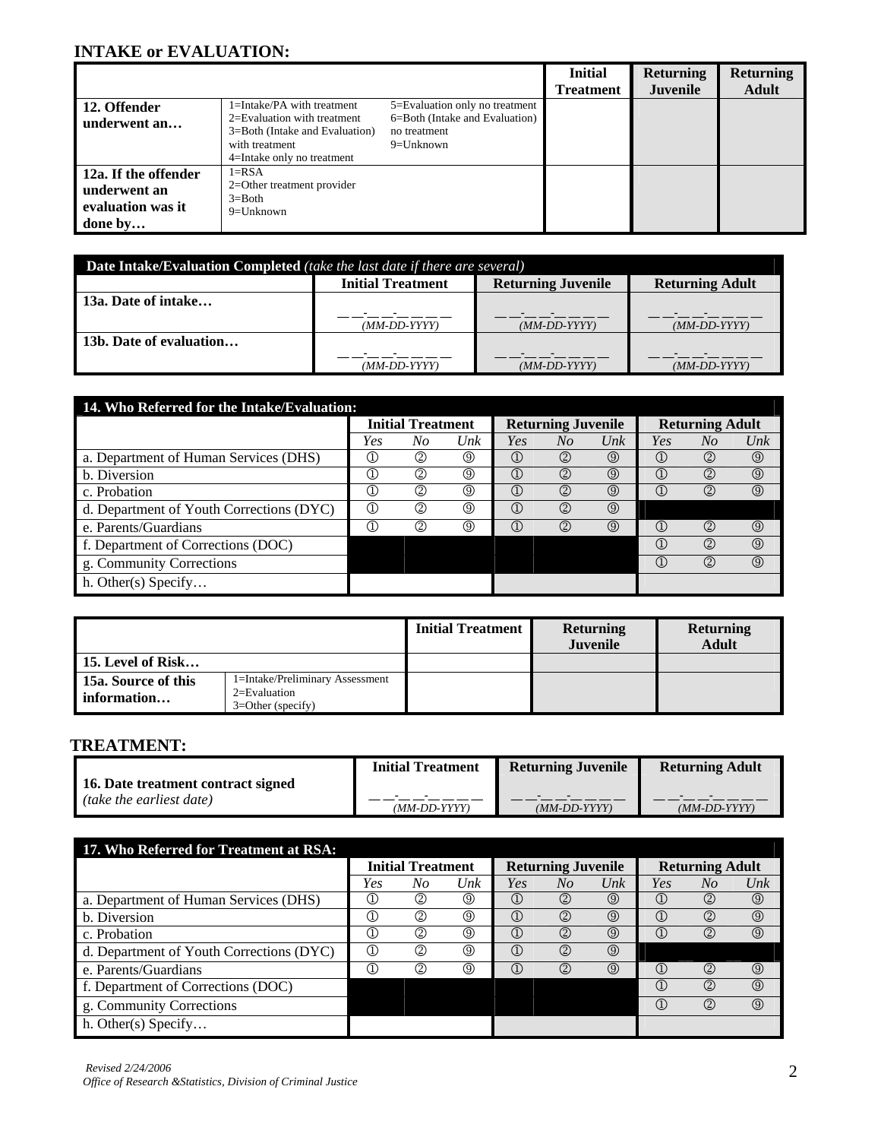# **INTAKE or EVALUATION:**

|                      |                                                                                                                   |                                                                | <b>Initial</b> | <b>Returning</b> | <b>Returning</b> |
|----------------------|-------------------------------------------------------------------------------------------------------------------|----------------------------------------------------------------|----------------|------------------|------------------|
|                      |                                                                                                                   |                                                                | Treatment      | <b>Juvenile</b>  | <b>Adult</b>     |
| 12. Offender         | 1=Intake/PA with treatment                                                                                        | 5=Evaluation only no treatment                                 |                |                  |                  |
| underwent an         | $2 =$ Evaluation with treatment<br>3=Both (Intake and Evaluation)<br>with treatment<br>4=Intake only no treatment | 6=Both (Intake and Evaluation)<br>no treatment<br>$9=$ Unknown |                |                  |                  |
| 12a. If the offender | $1 = RSA$                                                                                                         |                                                                |                |                  |                  |
| underwent an         | 2=Other treatment provider<br>$3 = Both$                                                                          |                                                                |                |                  |                  |
| evaluation was it    | $9 = Unknown$                                                                                                     |                                                                |                |                  |                  |
| done by              |                                                                                                                   |                                                                |                |                  |                  |

 $\mathbf{r}$ 

| <b>Date Intake/Evaluation Completed</b> (take the last date if there are several) |                              |                              |                              |  |  |  |  |  |  |  |
|-----------------------------------------------------------------------------------|------------------------------|------------------------------|------------------------------|--|--|--|--|--|--|--|
|                                                                                   | <b>Initial Treatment</b>     | <b>Returning Juvenile</b>    | <b>Returning Adult</b>       |  |  |  |  |  |  |  |
| 13a. Date of intake                                                               |                              |                              |                              |  |  |  |  |  |  |  |
|                                                                                   | $(MM\text{-}DD\text{-}YYYY)$ | $(MM\text{-}DD\text{-}YYYY)$ | $(MM\text{-}DD\text{-}YYYY)$ |  |  |  |  |  |  |  |
| 13b. Date of evaluation                                                           |                              |                              |                              |  |  |  |  |  |  |  |
|                                                                                   | $(MM\text{-}DD\text{-}YYYY)$ | $(MM\text{-}DD\text{-}YYYY)$ | $(MM\text{-}DD\text{-}YYYY)$ |  |  |  |  |  |  |  |

| 14. Who Referred for the Intake/Evaluation: |                          |    |     |                                      |                           |                |                             |                |                   |
|---------------------------------------------|--------------------------|----|-----|--------------------------------------|---------------------------|----------------|-----------------------------|----------------|-------------------|
|                                             | <b>Initial Treatment</b> |    |     |                                      | <b>Returning Juvenile</b> |                | <b>Returning Adult</b>      |                |                   |
|                                             | Yes                      | No | Unk | Yes                                  | No                        | $_{Unk}$       | Yes                         | No             | $_{\textit{Unk}}$ |
| a. Department of Human Services (DHS)       | Œ                        | ②  | ◎   | $\mathbb G$                          | $^{\circledR}$            | $\circled{0}$  | ¢                           | $^{\circledR}$ | $\circledS$       |
| b. Diversion                                | C                        | C  | ◎   | $\mathbb G$                          | $^{\circledR}$            | $\circledcirc$ | ¢                           | ②              | $\circledS$       |
| c. Probation                                | C                        | ➁  | ◎   | $\left( \Gamma \right)$              | (2)                       | $\circled{0}$  | $\left( \Gamma \right)$     | 2              | $\circledS$       |
| d. Department of Youth Corrections (DYC)    | Œ                        | ➁  | ◎   | $\left( \widehat{\mathbb{I}}\right)$ | $^{\circledR}$            | $\circled{0}$  |                             |                |                   |
| e. Parents/Guardians                        | C                        | C  | ◎   | $\left( \widehat{\mathbb{I}}\right)$ | $^{\circledR}$            | $\circled{0}$  | ¢                           | 2              | $\circledS$       |
| f. Department of Corrections (DOC)          |                          |    |     |                                      |                           |                | $\left( \mathbb{I} \right)$ | 2              | $\circled{0}$     |
| g. Community Corrections                    |                          |    |     |                                      |                           |                | $^\circledR$                | 2              | $\circledcirc$    |
| h. Other(s) Specify                         |                          |    |     |                                      |                           |                |                             |                |                   |

|                                      |                                                                            | <b>Initial Treatment</b> | <b>Returning</b><br><b>Juvenile</b> | <b>Returning</b><br><b>Adult</b> |
|--------------------------------------|----------------------------------------------------------------------------|--------------------------|-------------------------------------|----------------------------------|
| <b>15. Level of Risk</b>             |                                                                            |                          |                                     |                                  |
| 15a. Source of this<br>l information | 1=Intake/Preliminary Assessment<br>$2 =$ Evaluation<br>$3=Other$ (specify) |                          |                                     |                                  |

## **TREATMENT:**

|                                    | <b>Initial Treatment</b>     | <b>Returning Juvenile</b>    | <b>Returning Adult</b>       |
|------------------------------------|------------------------------|------------------------------|------------------------------|
| 16. Date treatment contract signed |                              |                              |                              |
| <i>(take the earliest date)</i>    | $(MM\text{-}DD\text{-}YYYY)$ | $(MM\text{-}DD\text{-}YYYY)$ | $(MM\text{-}DD\text{-}YYYY)$ |

| 17. Who Referred for Treatment at RSA:   |                                |                |                   |                             |                           |               |                                |     |                   |
|------------------------------------------|--------------------------------|----------------|-------------------|-----------------------------|---------------------------|---------------|--------------------------------|-----|-------------------|
|                                          | <b>Initial Treatment</b>       |                |                   |                             | <b>Returning Juvenile</b> |               | <b>Returning Adult</b>         |     |                   |
|                                          | Yes                            | No             | $_{\textit{Unk}}$ | Yes                         | No                        | Unk           | Yes                            | No  | $_{\textit{Unk}}$ |
| a. Department of Human Services (DHS)    | Œ                              | ②              | $^\circledR$      | $\left( \mathbb{I} \right)$ | (2)                       | $\circledS$   | $\textcircled{\scriptsize{1}}$ | (2) | $^{\circledR}$    |
| b. Diversion                             | Œ,                             | ②              | (9)               | $\left( \mathbb{D}\right)$  | (2)                       | $\circledS$   | $\left( \Gamma \right)$        | (2) | $^{\circledR}$    |
| c. Probation                             | Œ                              | ②              | ⊚                 | $^\circledR$                | (2)                       | $\circledS$   | $\left( \mathrm{I}\right)$     | (2) | $\circledcirc$    |
| d. Department of Youth Corrections (DYC) | $\textcircled{\scriptsize{1}}$ | $^{\circledR}$ | $^\circledR$      | $^\circledR$                | ②                         | $\circled{0}$ |                                |     |                   |
| e. Parents/Guardians                     | Œ                              | ②              | 0                 | $\left( \mathbb{I} \right)$ | (2)                       | $\circledS$   | $\textcircled{\scriptsize{1}}$ | (2) | $\circledcirc$    |
| f. Department of Corrections (DOC)       |                                |                |                   |                             |                           |               | $\left( \Gamma \right)$        | (2) | $^{\circledR}$    |
| g. Community Corrections                 |                                |                |                   |                             |                           |               | $\textcircled{\scriptsize{1}}$ | (2) | $\circledcirc$    |
| h. Other $(s)$ Specify                   |                                |                |                   |                             |                           |               |                                |     |                   |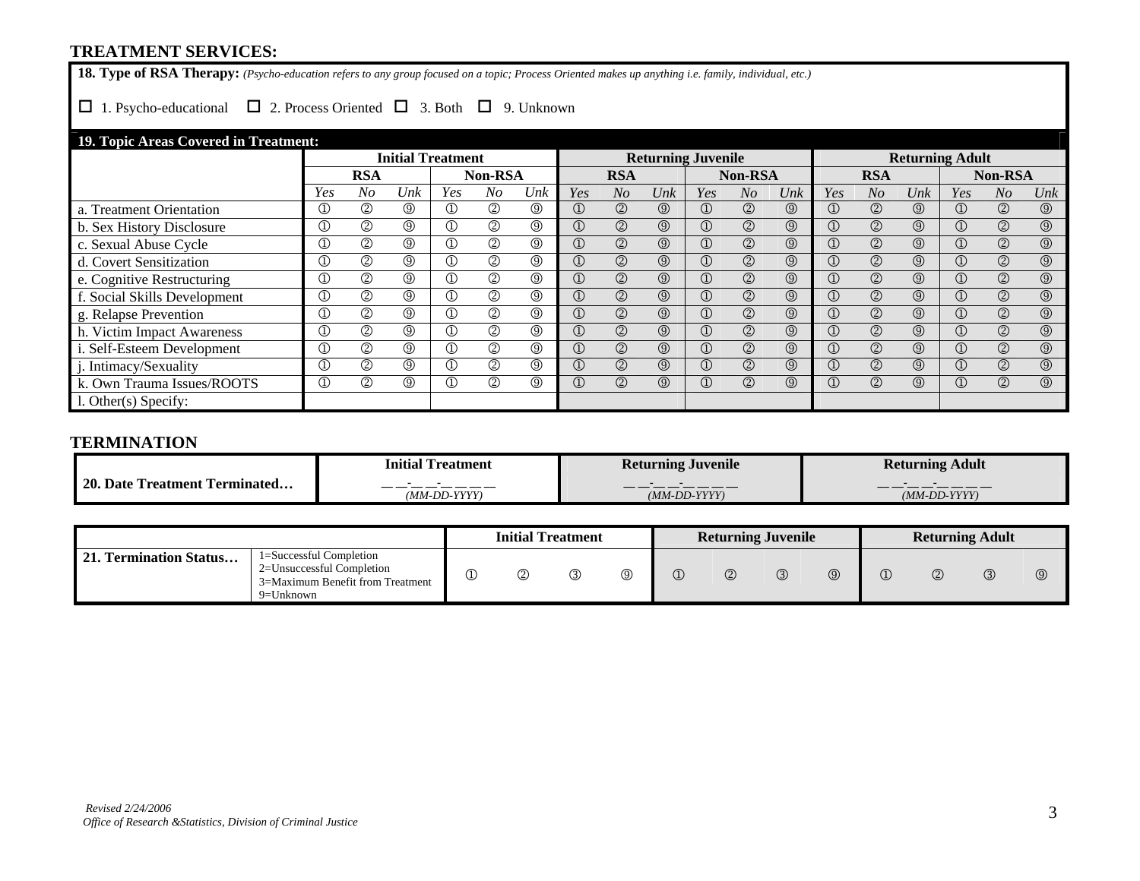### **TREATMENT SERVICES:**

**18. Type of RSA Therapy:** *(Psycho-education refers to any group focused on a topic; Process Oriented makes up anything i.e. family, individual, etc.)* 

## $\Box$  1. Psycho-educational  $\Box$  2. Process Oriented  $\Box$  3. Both  $\Box$  9. Unknown

## **19. Topic Areas Covered in Treatment:**

|                            | <b>Initial Treatment</b> |                |                |                |                | <b>Returning Juvenile</b> |                         |                |                |                | <b>Returning Adult</b> |                |                |                |                   |                |                |                |
|----------------------------|--------------------------|----------------|----------------|----------------|----------------|---------------------------|-------------------------|----------------|----------------|----------------|------------------------|----------------|----------------|----------------|-------------------|----------------|----------------|----------------|
|                            |                          | <b>RSA</b>     |                |                | Non-RSA        |                           |                         | <b>RSA</b>     |                |                | <b>Non-RSA</b>         |                |                | <b>RSA</b>     |                   |                | <b>Non-RSA</b> |                |
|                            | Yes                      | N <sub>o</sub> | Unk            | Yes            | No             | Unk                       | Yes                     | N <sub>O</sub> | Unk            | Yes            | $N_{O}$                | Unk            | Yes            | N <sub>O</sub> | $_{\textit{Unk}}$ | Yes            | N <sub>O</sub> | Unk            |
| a. Treatment Orientation   | $^{\circledR}$           | $^{\circledR}$ | $^{\circledR}$ | $^\mathbb{O}$  | ②              | ⊚                         | $^\copyright$           | $\circledcirc$ | $\circledcirc$ | $^\circledR$   | $^{\circledR}$         | $\circledcirc$ | $^\copyright$  | $\circled{2}$  | $\circledcirc$    |                | $\circled{2}$  | $^\circledR$   |
| b. Sex History Disclosure  | $\overline{\mathbb{O}}$  | $^{\circledR}$ | $^{\circledR}$ | $^{\circledR}$ | $^{\circledR}$ | $^{\circledR}$            | $\circled{1}$           | $\circledcirc$ | $\circledcirc$ | $\circled{1}$  | $\circled{2}$          | $\circledS$    | $\circled{1}$  | $\circled{2}$  | $\circledcirc$    | $\circled{1}$  | $\circled{2}$  | $\circledS$    |
| c. Sexual Abuse Cycle      | $\overline{\mathbb{O}}$  | $^{\circledR}$ | $\circledcirc$ | $^{\circledR}$ | $^{\circledR}$ | $^{\circledR}$            | $\overline{\mathbb{O}}$ | $\circledcirc$ | $\circledS$    | $\circled{1}$  | $^{\circledR}$         | $\circledcirc$ | $\circled{1}$  | $\circled{2}$  | $\circledcirc$    | $^{\circledR}$ | $\circledS$    | $^{\circledR}$ |
| d. Covert Sensitization    | $\overline{\mathbb{O}}$  | $^{\circledR}$ | $\circledcirc$ | $^{\circledR}$ | $^{\circledR}$ | $^{\circledR}$            | $\circled{1}$           | $^{\circledR}$ | $\circledcirc$ | $^\circledR$   | $\circled{2}$          | $\circledcirc$ | $\circled{1}$  | $\circled{2}$  | $\circledcirc$    | $\circled{1}$  | $\circledS$    | $^\circledR$   |
| e. Cognitive Restructuring | $^{\circledR}$           | $^{\circledR}$ | $\circledcirc$ | $^{\circledR}$ | $^{\circledR}$ | $^{\circledR}$            | $\overline{\mathbb{D}}$ | $\circledcirc$ | $\circledcirc$ | $^\circledR$   | $^{\circledR}$         | $\circledcirc$ | $^\circledR$   | $\circled{2}$  | $\circledcirc$    | $\circled{1}$  | $\circledS$    | $\circledS$    |
| Social Skills Development  | $^{\circledR}$           | $^{\circledR}$ | $^{\circledR}$ | $^{\circledR}$ | $^{\circledR}$ | $^{\circledR}$            | $^{\circledR}$          | $\circledcirc$ | $\circledcirc$ | $\circled{1}$  | $^{\circledR}$         | $\circledcirc$ | $\circled{1}$  | $\circledcirc$ | $\circledcirc$    | $\circled{1}$  | $\circledS$    | $\circledcirc$ |
| g. Relapse Prevention      | $^{\circledR}$           | $^{\circledR}$ | $^{\circledR}$ | $^{\circledR}$ | $^{\circledR}$ | $^{\circledR}$            | $\overline{\mathbb{O}}$ | $\circledcirc$ | $\circledcirc$ | $\circled{1}$  | $\circled{2}$          | $\circledS$    | $\circled{1}$  | $\circled{2}$  | $\circledcirc$    | $\circled{1}$  | $\circledS$    | $^{\circledR}$ |
| h. Victim Impact Awareness | $\overline{\mathbb{O}}$  | $^{\circledR}$ | $^{\circledR}$ | $^{\circledR}$ | $^{\circledR}$ | $^{\circledR}$            | $\circled{1}$           | $\circledcirc$ | $\circledcirc$ | $^\circledR$   | $\circled{2}$          | $\circledcirc$ | $\bigcirc$     | $\circled{2}$  | $\circledcirc$    | $^{\circledR}$ | $\circled{2}$  | $^\circledR$   |
| i. Self-Esteem Development | $^{\circledR}$           | $^{\circledR}$ | $\circledcirc$ | $^{\circledR}$ | $^{\circledR}$ | $^{\circledR}$            | $\overline{\mathbb{D}}$ | $\circledcirc$ | $\circledcirc$ | $^{\circledR}$ | $^{\circledR}$         | $\circledcirc$ | $\circled{1}$  | $\circled{2}$  | $\circledcirc$    | $\circled{1}$  | $\circled{2}$  | $\circledcirc$ |
| . Intimacy/Sexuality       | $^{\circledR}$           | $\overline{2}$ | $\circledcirc$ | $^{\circledR}$ | $^{\circledR}$ | $^{\circledR}$            | $\overline{\mathbb{O}}$ | $\circledcirc$ | $\circledS$    | $\circled{1}$  | $\circled{2}$          | $\circledcirc$ | $^{\circledR}$ | $\circled{2}$  | $\circledcirc$    | $^{\circledR}$ | $^{\circledR}$ | $\circledcirc$ |
| k. Own Trauma Issues/ROOTS | $^{\circledR}$           | $^{\circledR}$ | $\circledcirc$ | $^{\circledR}$ | $^{\circledR}$ | $^{\circledR}$            | $\circled{1}$           | $\circledcirc$ | $\circledS$    | $^{\circledR}$ | $\circled{2}$          | $\circledS$    | $\circled{1}$  | $\circled{2}$  | $\circledS$       | $\circled{1}$  | $^{\circledR}$ | $\circledcirc$ |
| $l.$ Other $(s)$ Specify:  |                          |                |                |                |                |                           |                         |                |                |                |                        |                |                |                |                   |                |                |                |

#### **TERMINATION**

|                                           | Initial<br><b>Treatment</b>  | <b>Returning Juvenile</b>           | Returning Adult                       |
|-------------------------------------------|------------------------------|-------------------------------------|---------------------------------------|
| <br>20.<br>Date:<br>l`reatment Terminated | $(MM\text{-}DD\text{-}YYYY)$ | ___<br>$(MM\text{-}DD\text{-}YYYY)$ | _____<br>$(MM\text{-}DD\text{-}YYYY)$ |

|                        |                                                                                                           | <b>Initial Treatment</b> |   |   | <b>Returning Juvenile</b> |   |              |  | <b>Returning Adult</b> |             |
|------------------------|-----------------------------------------------------------------------------------------------------------|--------------------------|---|---|---------------------------|---|--------------|--|------------------------|-------------|
| 21. Termination Status | l=Successful Completion<br>2=Unsuccessful Completion<br>3=Maximum Benefit from Treatment<br>$9 =$ Unknown |                          | ⊚ | ① |                           | ③ | $^\circledR$ |  |                        | $\circledS$ |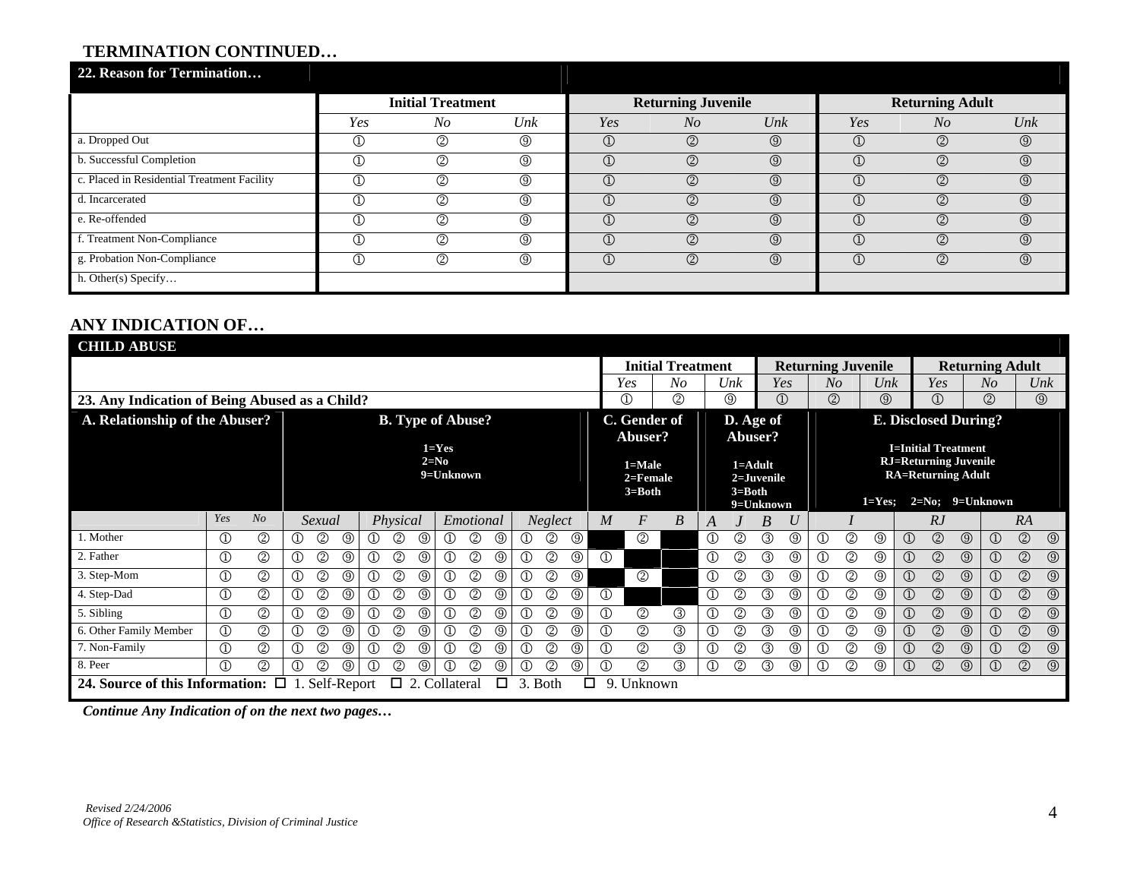# **TERMINATION CONTINUED…**

| 22. Reason for Termination                  |                |                          |                |               |                           |                   |                |                        |                   |
|---------------------------------------------|----------------|--------------------------|----------------|---------------|---------------------------|-------------------|----------------|------------------------|-------------------|
|                                             |                | <b>Initial Treatment</b> |                |               | <b>Returning Juvenile</b> |                   |                | <b>Returning Adult</b> |                   |
|                                             | Yes            | N <sub>O</sub>           | Unk            | Yes           | N <sub>O</sub>            | $_{\textit{Unk}}$ | Yes            | $N_{O}$                | $_{\textit{Unk}}$ |
| a. Dropped Out                              | $^\copyright$  | $^{\circledR}$           | $^{\circledR}$ | $\circled{1}$ | $\circledcirc$            | $\circledS$       | $^\copyright$  | $^{\circledR}$         | $\circledS$       |
| b. Successful Completion                    | $^\copyright$  | $^{\circledR}$           | $^{\circledR}$ | $\bigcirc$    | $\circledS$               | $\circledcirc$    | $^\copyright$  | $^{\circledR}$         | $\circledS$       |
| c. Placed in Residential Treatment Facility | $^{\circledR}$ | $^{\circledR}$           | $^\circledR$   | $\circled{1}$ | $^{\circledR}$            | $\circledcirc$    | $^{\circledR}$ | $^{\circledR}$         | $\circledcirc$    |
| d. Incarcerated                             | $^\copyright$  | $^{\circledR}$           | $^{\circledR}$ | $\bigcirc$    | $\circled{2}$             | $\circledcirc$    | $^\copyright$  | $^{\circledR}$         | $\circledS$       |
| e. Re-offended                              | $^\circledR$   | $^{\circledR}$           | $^{\circledR}$ | $\bigcirc$    | $\circled{2}$             | $\circledcirc$    | $^\copyright$  | $\circled{2}$          | $\circledcirc$    |
| f. Treatment Non-Compliance                 | $^\circledR$   | $^{\circledR}$           | $^{\circledR}$ | $\bigcirc$    | $\circled{2}$             | $\circledcirc$    | $^\copyright$  | $^{\circledR}$         | $\circledcirc$    |
| g. Probation Non-Compliance                 | $^{\circledR}$ | $^{\circledR}$           | $^{\circledR}$ | $\bigcirc$    | $\circledS$               | $\circledcirc$    | $^{\circledR}$ | $\circled{2}$          | $\circledS$       |
| h. Other $(s)$ Specify                      |                |                          |                |               |                           |                   |                |                        |                   |

# **ANY INDICATION OF…**

| <b>CHILD ABUSE</b>                             |                |                |                |                |                |                   |                |                |                          |                |                |                |                |                |                |                                      |                          |                |                           |                |                   |                |                |                           |                |                                                                                         |                |                        |                |                   |
|------------------------------------------------|----------------|----------------|----------------|----------------|----------------|-------------------|----------------|----------------|--------------------------|----------------|----------------|----------------|----------------|----------------|----------------|--------------------------------------|--------------------------|----------------|---------------------------|----------------|-------------------|----------------|----------------|---------------------------|----------------|-----------------------------------------------------------------------------------------|----------------|------------------------|----------------|-------------------|
|                                                |                |                |                |                |                |                   |                |                |                          |                |                |                |                |                |                |                                      | <b>Initial Treatment</b> |                |                           |                |                   |                |                | <b>Returning Juvenile</b> |                |                                                                                         |                | <b>Returning Adult</b> |                |                   |
|                                                |                |                |                |                |                |                   |                |                |                          |                |                |                |                |                |                | Yes                                  | $N_{O}$                  |                | Unk                       |                | Yes               | No             |                | $_{\textit{Unk}}$         |                | Yes                                                                                     |                | $N_{O}$                |                | $_{\textit{Unk}}$ |
| 23. Any Indication of Being Abused as a Child? |                |                |                |                |                |                   |                |                |                          |                |                |                |                |                |                | $^\copyright$                        | (2)                      |                | $^{\circledR}$            |                | $\textcircled{1}$ | ②              |                | ⊚                         |                | ①                                                                                       |                | (2)                    |                | $\circledS$       |
| A. Relationship of the Abuser?                 |                |                |                |                |                |                   |                |                | <b>B.</b> Type of Abuse? |                |                |                |                |                |                | C. Gender of                         |                          |                | D. Age of                 |                |                   |                |                |                           |                | <b>E. Disclosed During?</b>                                                             |                |                        |                |                   |
|                                                |                |                |                |                |                |                   |                |                |                          |                |                |                |                |                |                | Abuser?                              |                          |                | Abuser?                   |                |                   |                |                |                           |                |                                                                                         |                |                        |                |                   |
|                                                |                |                |                |                |                |                   |                | $2=N_0$        | $1 = Yes$<br>9=Unknown   |                |                |                |                |                |                | 1=Male<br>$2 =$ Female<br>$3 = Both$ |                          |                | $1 =$ Adult<br>$3 = Both$ | $2 =$ Juvenile |                   |                |                |                           |                | <b>I=Initial Treatment</b><br><b>RJ=Returning Juvenile</b><br><b>RA=Returning Adult</b> |                |                        |                |                   |
|                                                |                |                |                |                |                |                   |                |                |                          |                |                |                |                |                |                |                                      |                          |                |                           | 9=Unknown      |                   |                |                | $1 = Yes$                 |                |                                                                                         |                | $2=No$ ; 9=Unknown     |                |                   |
|                                                | Yes            | N <sub>O</sub> |                | Sexual         |                |                   | Physical       |                |                          | Emotional      |                |                | Neglect        |                | M              | $\boldsymbol{F}$                     | B                        | A              |                           | B              | U                 |                |                |                           |                | RJ                                                                                      |                |                        | RA             |                   |
| 1. Mother                                      | $\mathbb{O}$   | $^{\circledR}$ | ⊕              | ②              | ⊚              | $\mathcal{D}$     | ②              | $^{\circledR}$ | ➀                        | ②              | ◎              | $^\copyright$  | ②              | $^{\circledR}$ |                | $^{\circledR}$                       |                          | $^\copyright$  | 2                         | ③              | $\circledcirc$    | $^{\circ}$     | $^{\circledR}$ | ⊚                         | $\circled{1}$  | $\circledcirc$                                                                          | ⊚              | $\bigcirc$             | $\circledcirc$ | $\circledS$       |
| 2. Father                                      | $^{\circledR}$ | $^{\circledR}$ | $^{\circledR}$ | ②              | ⊚              | $\textcircled{1}$ | ②              | $^{\circledR}$ | $^\copyright$            | ②              | $^\circledR$   | $^{\circledR}$ | ②              | $^{\circledR}$ | $^{\circledR}$ |                                      |                          | $^{\circledR}$ | 2                         | ③              | $^{\circledR}$    | $^{\circledR}$ | ②              | ⊚                         | $\circled{1}$  | $^{\circledR}$                                                                          | $^\circledR$   | $\bigcirc$             | $\circledS$    | $\circledcirc$    |
| 3. Step-Mom                                    | $^{\circledR}$ | $^{\circledR}$ | $\circled{1}$  | $\circledS$    | ⊚              | $^\circledR$      | $^{\circledR}$ | $^{\circledR}$ | $^\copyright$            | $^{\circledR}$ | $^\circledR$   | $^{\circledR}$ | ②              | $^\circledR$   |                | $^{\circledR}$                       |                          | $^{\circledR}$ | ②                         | ③              | $\circledcirc$    | $^\circledR$   | $^{\circledR}$ | ⊚                         | $\circled{1}$  | $\circledcirc$                                                                          | $^\circledR$   | $\bigcirc$             | $\circledS$    | $\circledcirc$    |
| 4. Step-Dad                                    | $^{\circledR}$ | $^{\circledR}$ | $\circled{1}$  | $^{\circledR}$ | ⊚              | $^\circledR$      | $^{\circledR}$ | $^{\circledR}$ | $^\mathbb{O}$            | $^{\circledR}$ | $^\circledR$   | $^{\circledR}$ | ②              | ⊚              | $^\copyright$  |                                      |                          | $^{\circledR}$ | $^{\circledR}$            | $\circledS$    | $^{\circledR}$    | $^\circledR$   | $^{\circledR}$ | ⊚                         | $\circled{1}$  | $\circledcirc$                                                                          | $^{\circledR}$ | $\bigcirc$             | $\circledS$    | $\circledcirc$    |
| 5. Sibling                                     | $\circled{1}$  | $^{\circledR}$ | $\circled{1}$  | $^{\circledR}$ | $^{\circledR}$ | $^\copyright$     | $^{\circledR}$ | $\circledcirc$ | $\overline{\mathbb{O}}$  | $^{\circledR}$ | $^{\circledR}$ | $\mathbb{O}$   | $^{\circledR}$ | ⊚              | $^\copyright$  | $^{\circledR}$                       | $^{\circledR}$           | $^\copyright$  | $^{\circledR}$            | ③              | $\circledcirc$    | $\mathbb O$    | ②              | $^{\circledR}$            | $\circled{1}$  | $\circledcirc$                                                                          | $^{\circledR}$ | $\bigcirc$             | $\circledS$    | $\circledcirc$    |
| 6. Other Family Member                         | $^\circledR$   | $^{\circledR}$ | $^{\circledR}$ | $\circledS$    | ⊚              | ①                 | ②              | ⊚              | $^\copyright$            | $^{\circledR}$ | $^{\circledR}$ | $^\copyright$  | ②              | ⊚              | ➀              | $^{\circledR}$                       | $\circledS$              | $^\copyright$  | $^{\circledR}$            | $\circled{3}$  | $^{\circledR}$    | $^{\circ}$     | $^{\circledR}$ | ⊚                         | $\circled{1}$  | $^{\circledR}$                                                                          | $^\circledR$   | $\circled{1}$          | $^{\circledR}$ | $\circledcirc$    |
| 7. Non-Family                                  | $^\circledR$   | $^{\circledR}$ | $^\copyright$  | ②              | ◎              | $\textcircled{1}$ | ②              | ⊚              | $^\mathbb{O}$            | $^{\circledR}$ | $^\circledR$   | $^\copyright$  | ②              | ⊚              | $^\copyright$  | ②                                    | ③                        | $^\copyright$  | 2                         | ③              | $^{\circledR}$    | $^\copyright$  | ②              | ℚ                         | $^\copyright$  | ②                                                                                       | $^\circledR$   | $^{\circledR}$         | $^{\circledR}$ | $\circledS$       |
| 8. Peer                                        | $\Omega$       | ②              | ①              | ②              | ⊚              | $^\copyright$     | ②              | ⊚              | $^\copyright$            | (2)            | $^\circledR$   | $^\copyright$  | ②              | $^\circledR$   | $^\copyright$  | $^{\circledR}$                       | ③                        | $^\copyright$  | ②                         | ③              | $^{\circledR}$    | $^\circledR$   | $^{\circledR}$ | $^\circledR$              | $^{\circledR}$ | $^{\circledR}$                                                                          | $^{\circledR}$ | $\bigcirc$             | $^{\circledR}$ | $\circledcirc$    |
| 24. Source of this Information: $\Box$ 1.      |                |                |                | Self-Report    |                |                   | $\Box$         |                | 2. Collateral            |                | □              | 3.             | <b>Both</b>    | □              | 9.             | Unknown                              |                          |                |                           |                |                   |                |                |                           |                |                                                                                         |                |                        |                |                   |

*Continue Any Indication of on the next two pages…*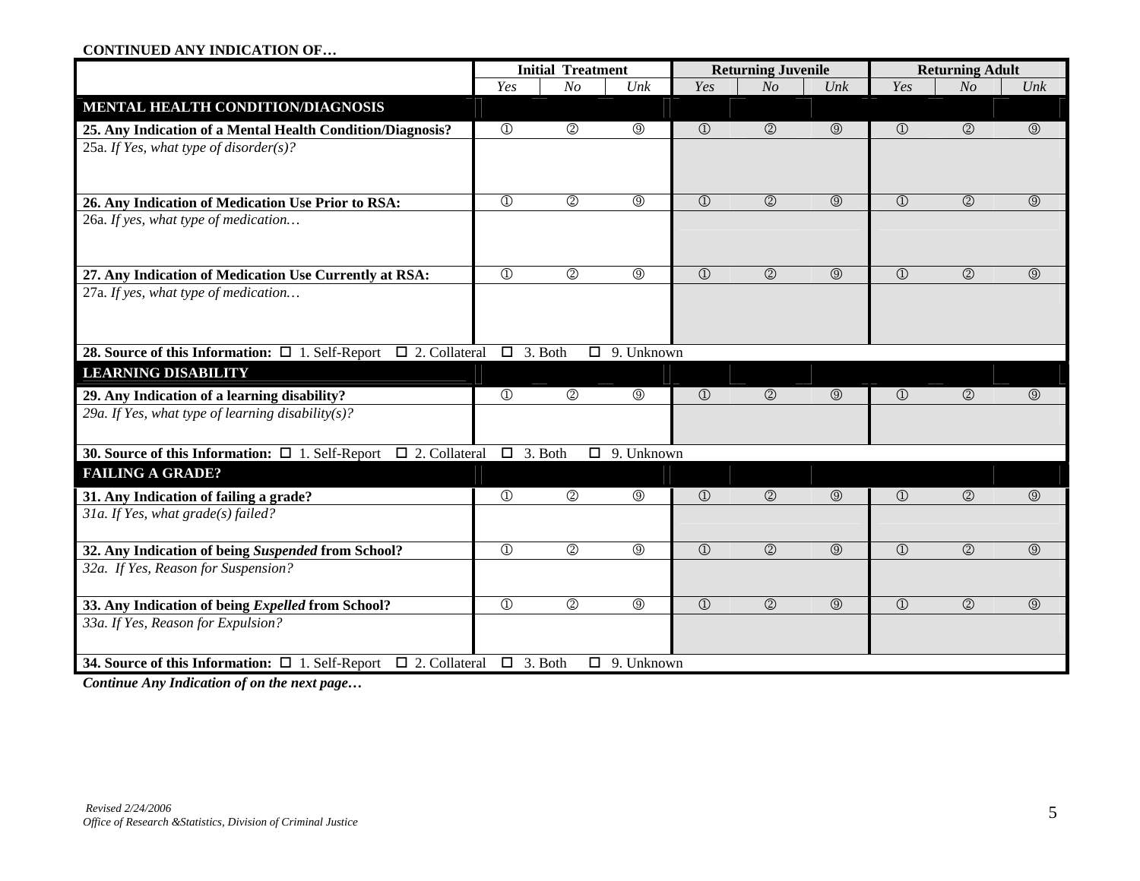#### **CONTINUED ANY INDICATION OF…**

|                                                                                   | <b>Initial Treatment</b><br>N <sub>o</sub><br>Yes<br>Unk |                    |                    |                       | <b>Returning Juvenile</b> |                           |                         | <b>Returning Adult</b> |                |
|-----------------------------------------------------------------------------------|----------------------------------------------------------|--------------------|--------------------|-----------------------|---------------------------|---------------------------|-------------------------|------------------------|----------------|
|                                                                                   | Yes<br>N <sub>O</sub>                                    |                    |                    |                       | $_{\textit{Unk}}$         | Yes                       | N <sub>O</sub>          | Unk                    |                |
| MENTAL HEALTH CONDITION/DIAGNOSIS                                                 |                                                          |                    |                    |                       |                           |                           |                         |                        |                |
| 25. Any Indication of a Mental Health Condition/Diagnosis?                        | $\circled{1}$                                            | $\overline{\circ}$ | $^{\circledR}$     | $\circled{1}$         | $\circledcirc$            | $\circledcirc$            | $\circled{1}$           | $\circledcirc$         | $\circledcirc$ |
| 25a. If Yes, what type of disorder(s)?                                            |                                                          |                    |                    |                       |                           |                           |                         |                        |                |
|                                                                                   |                                                          |                    |                    |                       |                           |                           |                         |                        |                |
| 26. Any Indication of Medication Use Prior to RSA:                                | $\overline{\oplus}$                                      | $\overline{\circ}$ | $\circledcirc$     | $\overline{\bigcirc}$ | $\overline{O}$            | $\circledcirc$            | $\overline{\bigcirc}$   | $\overline{\circ}$     | $\circledcirc$ |
| 26a. If yes, what type of medication                                              |                                                          |                    |                    |                       |                           |                           |                         |                        |                |
| 27. Any Indication of Medication Use Currently at RSA:                            | $\circled{1}$                                            | $\overline{\circ}$ | $^{\circledR}$     | $\circled{1}$         | $\overline{O}$            | $\circledcirc$            | $\overline{\bigcirc}$   | $\overline{O}$         | $\circledcirc$ |
| 27a. If yes, what type of medication                                              |                                                          |                    |                    |                       |                           |                           |                         |                        |                |
|                                                                                   |                                                          |                    |                    |                       |                           |                           |                         |                        |                |
| 28. Source of this Information: $\Box$ 1. Self-Report $\Box$ 2. Collateral        | $\Box$ 3. Both                                           |                    | $\Box$ 9. Unknown  |                       |                           |                           |                         |                        |                |
| <b>LEARNING DISABILITY</b>                                                        |                                                          |                    |                    |                       |                           |                           |                         |                        |                |
| 29. Any Indication of a learning disability?                                      | $\overline{0}$                                           | $\overline{\circ}$ | $^\circledR$       | $\mathbb{O}$          | $\circledcirc$            | $\circledcirc$            | $\circled{1}$           | $\circledcirc$         | $\circledS$    |
| 29a. If Yes, what type of learning disability(s)?                                 |                                                          |                    |                    |                       |                           |                           |                         |                        |                |
| 30. Source of this Information: $\Box$ 1. Self-Report<br>$\Box$ 2. Collateral     | $\Box$ 3. Both                                           |                    | $\Box$ 9. Unknown  |                       |                           |                           |                         |                        |                |
| <b>FAILING A GRADE?</b>                                                           |                                                          |                    |                    |                       |                           |                           |                         |                        |                |
| 31. Any Indication of failing a grade?                                            | $\overline{0}$                                           | $\overline{\circ}$ | $\circledcirc$     | $\overline{1}$        | $\overline{O}$            | $\circledcirc$            | $\overline{①}$          | $\overline{O}$         | $\circledcirc$ |
| 31a. If Yes, what grade(s) failed?                                                |                                                          |                    |                    |                       |                           |                           |                         |                        |                |
| 32. Any Indication of being Suspended from School?                                | $\overline{\oplus}$                                      | $\overline{\circ}$ | $^{\circledR}$     | $\overline{0}$        | $\circledcirc$            | $\overline{\circledcirc}$ | $\circled{1}$           | $\overline{O}$         | $\circledcirc$ |
| 32a. If Yes, Reason for Suspension?                                               |                                                          |                    |                    |                       |                           |                           |                         |                        |                |
| 33. Any Indication of being Expelled from School?                                 | $\overline{\mathbb{O}}$                                  | $\circledcirc$     | $\overline{\circ}$ | $\overline{0}$        | $\circledcirc$            | $\overline{\circledcirc}$ | $\overline{\mathbb{O}}$ | $\circledcirc$         | $\circledcirc$ |
| 33a. If Yes, Reason for Expulsion?                                                |                                                          |                    |                    |                       |                           |                           |                         |                        |                |
| <b>34. Source of this Information:</b> $\Box$ 1. Self-Report $\Box$ 2. Collateral | $\Box$ 3. Both                                           |                    | $\Box$ 9. Unknown  |                       |                           |                           |                         |                        |                |

*Continue Any Indication of on the next page…*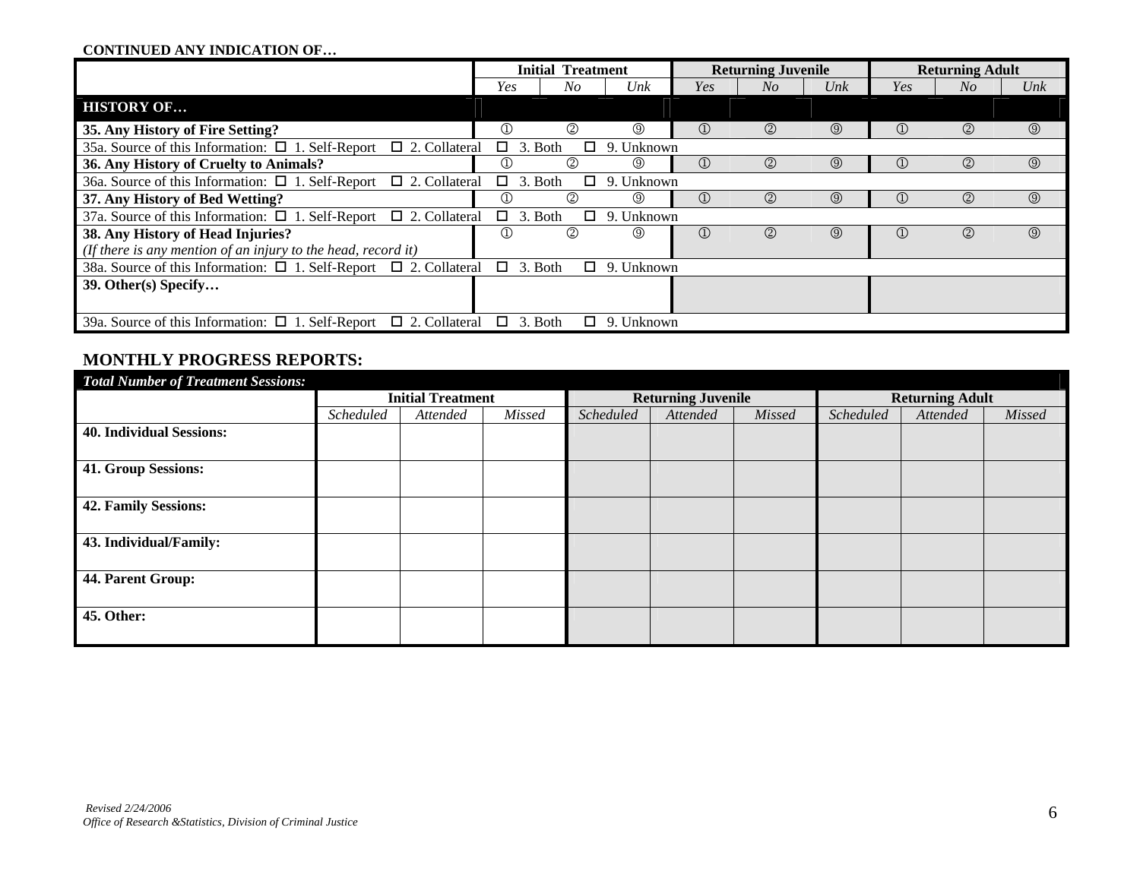#### **CONTINUED ANY INDICATION OF…**

|                                                                                |                | <b>Initial Treatment</b> |                |                                | <b>Returning Juvenile</b> |             |                                   | <b>Returning Adult</b> |                   |
|--------------------------------------------------------------------------------|----------------|--------------------------|----------------|--------------------------------|---------------------------|-------------|-----------------------------------|------------------------|-------------------|
|                                                                                | Yes            | No                       | Unk            | Yes                            | No                        | Unk         | Yes                               | No                     | $_{\textit{Unk}}$ |
| <b>HISTORY OF</b>                                                              |                |                          |                |                                |                           |             |                                   |                        |                   |
| 35. Any History of Fire Setting?                                               | $^{\circledR}$ | ②                        | $\circled{0}$  | $\circled{1}$                  | $^{\circledR}$            | ◎           | $^{\textcircled{\scriptsize{1}}}$ | $^{\circledR}$         | $\circledcirc$    |
| 35a. Source of this Information: $\Box$ 1. Self-Report $\Box$ 2. Collateral    |                | $\Box$ 3. Both<br>□      | 9. Unknown     |                                |                           |             |                                   |                        |                   |
| 36. Any History of Cruelty to Animals?                                         | $^\copyright$  | $^{\circledR}$           | $\circled{0}$  | $\textcircled{\scriptsize{1}}$ | $^{\circledR}$            | ◎           | $\bigcirc$                        | $^{\circledR}$         | $\circledS$       |
| 36a. Source of this Information: $\Box$ 1. Self-Report $\Box$ 2. Collateral    |                | $\Box$ 3. Both<br>□      | 9. Unknown     |                                |                           |             |                                   |                        |                   |
| 37. Any History of Bed Wetting?                                                | ①              | $\circled{2}$            | $\circledS$    | $\textcircled{\scriptsize{1}}$ | ②                         | $\circledS$ | $^{\textcircled{\scriptsize{1}}}$ | $^{\circledR}$         | $\circledcirc$    |
| $\Box$ 2. Collateral<br>37a. Source of this Information: $\Box$ 1. Self-Report |                | $\Box$ 3. Both<br>□      | 9. Unknown     |                                |                           |             |                                   |                        |                   |
| 38. Any History of Head Injuries?                                              | ⊕              | (2)                      | $\circledcirc$ | $\textcircled{\scriptsize{1}}$ | $^{\circledR}$            | ◎           | $^{\textcircled{\scriptsize{1}}}$ | ②                      | $\circled{9}$     |
| (If there is any mention of an injury to the head, record it)                  |                |                          |                |                                |                           |             |                                   |                        |                   |
| 38a. Source of this Information: $\Box$ 1. Self-Report $\Box$ 2. Collateral    |                | $\Box$ 3. Both<br>□      | 9. Unknown     |                                |                           |             |                                   |                        |                   |
| 39. Other(s) Specify                                                           |                |                          |                |                                |                           |             |                                   |                        |                   |
| 39a. Source of this Information: $\Box$ 1. Self-Report $\Box$ 2. Collateral    |                | $\Box$ 3. Both<br>$\Box$ | 9. Unknown     |                                |                           |             |                                   |                        |                   |

### **MONTHLY PROGRESS REPORTS:**

| <b>Total Number of Treatment Sessions:</b> |                          |          |        |           |                           |        |           |                        |        |
|--------------------------------------------|--------------------------|----------|--------|-----------|---------------------------|--------|-----------|------------------------|--------|
|                                            | <b>Initial Treatment</b> |          |        |           | <b>Returning Juvenile</b> |        |           | <b>Returning Adult</b> |        |
|                                            | Scheduled                | Attended | Missed | Scheduled | Attended                  | Missed | Scheduled | Attended               | Missed |
| <b>40. Individual Sessions:</b>            |                          |          |        |           |                           |        |           |                        |        |
| 41. Group Sessions:                        |                          |          |        |           |                           |        |           |                        |        |
| <b>42. Family Sessions:</b>                |                          |          |        |           |                           |        |           |                        |        |
| 43. Individual/Family:                     |                          |          |        |           |                           |        |           |                        |        |
| 44. Parent Group:                          |                          |          |        |           |                           |        |           |                        |        |
| 45. Other:                                 |                          |          |        |           |                           |        |           |                        |        |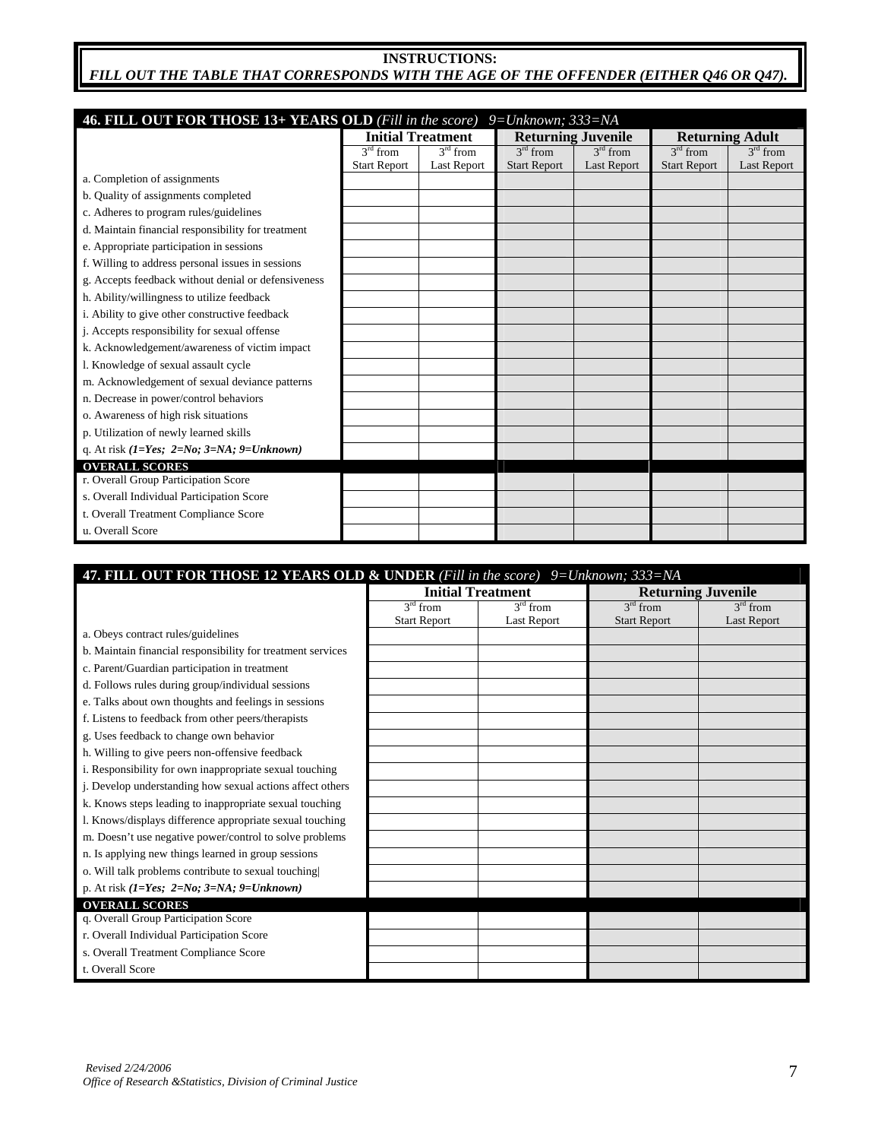### **INSTRUCTIONS:**   *FILL OUT THE TABLE THAT CORRESPONDS WITH THE AGE OF THE OFFENDER (EITHER Q46 OR Q47).*

| 46. FILL OUT FOR THOSE 13+ YEARS OLD (Fill in the score) 9=Unknown; 333=NA |                          |                    |                     |                           |                     |                        |
|----------------------------------------------------------------------------|--------------------------|--------------------|---------------------|---------------------------|---------------------|------------------------|
|                                                                            | <b>Initial Treatment</b> |                    |                     | <b>Returning Juvenile</b> |                     | <b>Returning Adult</b> |
|                                                                            | $3rd$ from               | $3rd$ from         | $3rd$ from          | $3rd$ from                | $3rd$ from          | $3rd$ from             |
|                                                                            | <b>Start Report</b>      | <b>Last Report</b> | <b>Start Report</b> | <b>Last Report</b>        | <b>Start Report</b> | <b>Last Report</b>     |
| a. Completion of assignments                                               |                          |                    |                     |                           |                     |                        |
| b. Quality of assignments completed                                        |                          |                    |                     |                           |                     |                        |
| c. Adheres to program rules/guidelines                                     |                          |                    |                     |                           |                     |                        |
| d. Maintain financial responsibility for treatment                         |                          |                    |                     |                           |                     |                        |
| e. Appropriate participation in sessions                                   |                          |                    |                     |                           |                     |                        |
| f. Willing to address personal issues in sessions                          |                          |                    |                     |                           |                     |                        |
| g. Accepts feedback without denial or defensiveness                        |                          |                    |                     |                           |                     |                        |
| h. Ability/willingness to utilize feedback                                 |                          |                    |                     |                           |                     |                        |
| i. Ability to give other constructive feedback                             |                          |                    |                     |                           |                     |                        |
| j. Accepts responsibility for sexual offense                               |                          |                    |                     |                           |                     |                        |
| k. Acknowledgement/awareness of victim impact                              |                          |                    |                     |                           |                     |                        |
| l. Knowledge of sexual assault cycle                                       |                          |                    |                     |                           |                     |                        |
| m. Acknowledgement of sexual deviance patterns                             |                          |                    |                     |                           |                     |                        |
| n. Decrease in power/control behaviors                                     |                          |                    |                     |                           |                     |                        |
| o. Awareness of high risk situations                                       |                          |                    |                     |                           |                     |                        |
| p. Utilization of newly learned skills                                     |                          |                    |                     |                           |                     |                        |
| q. At risk $(I=Yes; 2=No; 3=NA; 9=Unknown)$                                |                          |                    |                     |                           |                     |                        |
| <b>OVERALL SCORES</b>                                                      |                          |                    |                     |                           |                     |                        |
| r. Overall Group Participation Score                                       |                          |                    |                     |                           |                     |                        |
| s. Overall Individual Participation Score                                  |                          |                    |                     |                           |                     |                        |
| t. Overall Treatment Compliance Score                                      |                          |                    |                     |                           |                     |                        |
| u. Overall Score                                                           |                          |                    |                     |                           |                     |                        |

| 47. FILL OUT FOR THOSE 12 YEARS OLD & UNDER (Fill in the score) 9= Unknown; 333=NA |                     |                          |                     |                           |
|------------------------------------------------------------------------------------|---------------------|--------------------------|---------------------|---------------------------|
|                                                                                    |                     | <b>Initial Treatment</b> |                     | <b>Returning Juvenile</b> |
|                                                                                    | $3rd$ from          | $3rd$ from               | $3rd$ from          | $3rd$ from                |
|                                                                                    | <b>Start Report</b> | <b>Last Report</b>       | <b>Start Report</b> | <b>Last Report</b>        |
| a. Obeys contract rules/guidelines                                                 |                     |                          |                     |                           |
| b. Maintain financial responsibility for treatment services                        |                     |                          |                     |                           |
| c. Parent/Guardian participation in treatment                                      |                     |                          |                     |                           |
| d. Follows rules during group/individual sessions                                  |                     |                          |                     |                           |
| e. Talks about own thoughts and feelings in sessions                               |                     |                          |                     |                           |
| f. Listens to feedback from other peers/therapists                                 |                     |                          |                     |                           |
| g. Uses feedback to change own behavior                                            |                     |                          |                     |                           |
| h. Willing to give peers non-offensive feedback                                    |                     |                          |                     |                           |
| i. Responsibility for own inappropriate sexual touching                            |                     |                          |                     |                           |
| j. Develop understanding how sexual actions affect others                          |                     |                          |                     |                           |
| k. Knows steps leading to inappropriate sexual touching                            |                     |                          |                     |                           |
| 1. Knows/displays difference appropriate sexual touching                           |                     |                          |                     |                           |
| m. Doesn't use negative power/control to solve problems                            |                     |                          |                     |                           |
| n. Is applying new things learned in group sessions                                |                     |                          |                     |                           |
| o. Will talk problems contribute to sexual touching                                |                     |                          |                     |                           |
| p. At risk $(I=Yes; 2=No; 3=NA; 9=Unknown)$                                        |                     |                          |                     |                           |
| <b>OVERALL SCORES</b>                                                              |                     |                          |                     |                           |
| q. Overall Group Participation Score                                               |                     |                          |                     |                           |
| r. Overall Individual Participation Score                                          |                     |                          |                     |                           |
| s. Overall Treatment Compliance Score                                              |                     |                          |                     |                           |
| t. Overall Score                                                                   |                     |                          |                     |                           |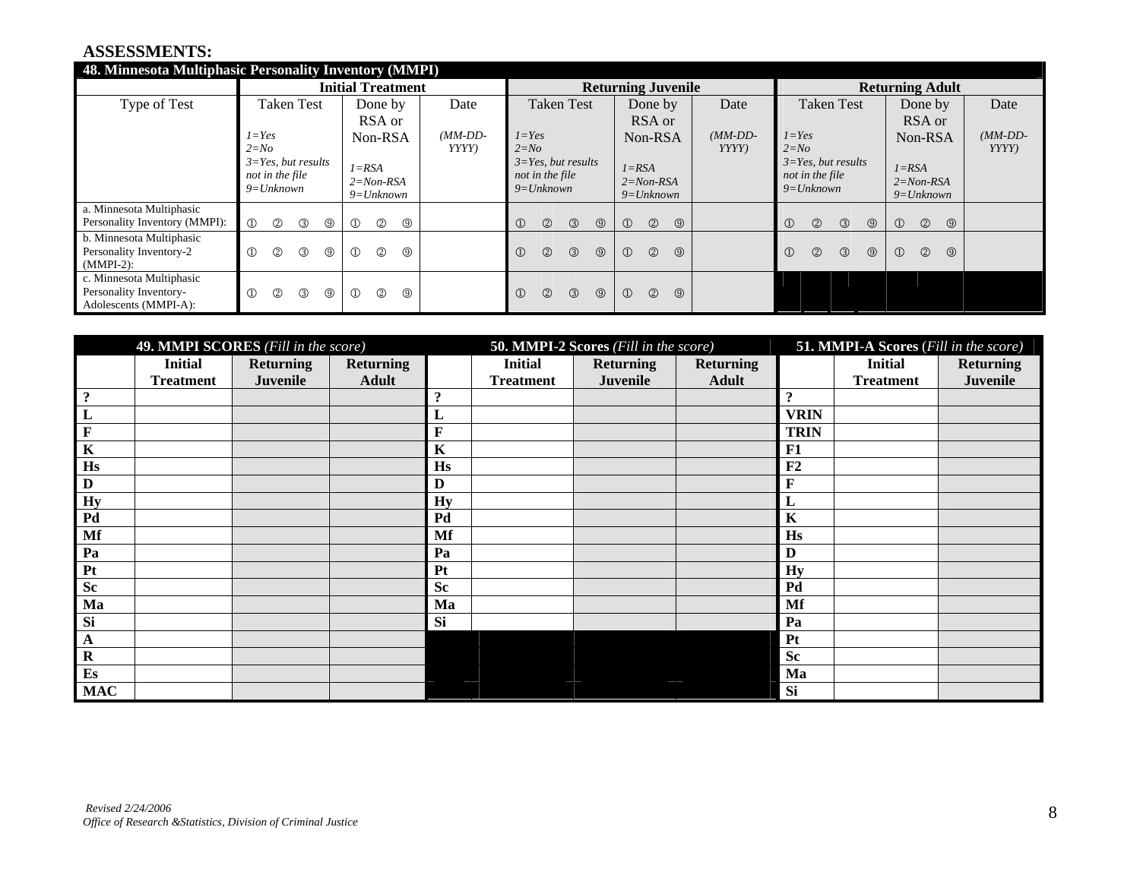#### **ASSESSMENTS:**

| 48. Minnesota Multiphasic Personality Inventory (MMPI)                      |                                                                         |                                                   |           |                                                                         |                                                    |                                                                                    |                                                   |           |
|-----------------------------------------------------------------------------|-------------------------------------------------------------------------|---------------------------------------------------|-----------|-------------------------------------------------------------------------|----------------------------------------------------|------------------------------------------------------------------------------------|---------------------------------------------------|-----------|
|                                                                             |                                                                         | <b>Initial Treatment</b>                          |           |                                                                         | <b>Returning Juvenile</b>                          |                                                                                    | <b>Returning Adult</b>                            |           |
| Type of Test                                                                | <b>Taken Test</b>                                                       | Done by                                           | Date      | <b>Taken Test</b>                                                       | Done by<br>Date                                    | <b>Taken Test</b>                                                                  | Done by                                           | Date      |
|                                                                             |                                                                         | RSA or                                            |           |                                                                         | RSA or                                             |                                                                                    | RSA or                                            |           |
|                                                                             | $1 = Yes$                                                               | Non-RSA                                           | $(MM-DD-$ | $1 = Yes$                                                               | $(MM\text{-}DD\text{-}$<br>Non-RSA                 | $1 = Yes$                                                                          | Non-RSA                                           | $(MM-DD-$ |
|                                                                             | $2 = No$<br>$3 = Yes$ , but results<br>not in the file<br>$9 = Unknown$ | $I = RSA$<br>$2 = Non-RSA$<br>$9 = Unknown$       | YYYY)     | $2 = No$<br>$3 = Yes$ , but results<br>not in the file<br>$9 = Unknown$ | YYYYY<br>$I = RSA$<br>$2 = Non-RSA$<br>$9=Unknown$ | $2 = No$<br>$3 = Yes$ , but results<br>not in the file<br>$9=Unknown$              | $I = RSA$<br>$2 = Non-RSA$<br>$9=Unknown$         | YYYY      |
| a. Minnesota Multiphasic<br>Personality Inventory (MMPI):                   | $\circled{1}$<br>$\circled{2}$<br>$\circled{3}$<br>$^{\circledR}$       | $^{\circledR}$<br>$\circledcirc$<br>$\circled{1}$ |           | $\circled{2}$<br>$\circled{1}$<br>$\circled{3}$<br>$\circledcirc$       | $\circledcirc$<br>$\circled{1}$<br>$\circledcirc$  | $\textcircled{\scriptsize{1}}$<br>$\circled{2}$<br>$\circled{3}$<br>$\circledcirc$ | $\circled{2}$<br>$\circled{1}$<br>$\circledcirc$  |           |
| b. Minnesota Multiphasic<br>Personality Inventory-2<br>$(MMPI-2)$ :         | $^{\circledR}$<br>$^{\circledR}$<br>③<br>$\circledcirc$                 | $\circled{2}$<br>$\circledcirc$<br>$\circled{1}$  |           | $\circled{1}$<br>$\circled{2}$<br>$\circled{3}$<br>$\circledcirc$       | $\circled{2}$<br>$\circled{0}$<br>$\circled{1}$    | $\circled{1}$<br>$\circledcirc$<br>$^{\circledR}$<br>$\circled{3}$                 | $\circledcirc$<br>$\circled{1}$<br>$\circledcirc$ |           |
| c. Minnesota Multiphasic<br>Personality Inventory-<br>Adolescents (MMPI-A): | $^{\circledR}$<br>$^{\circledR}$<br>③<br>$^{\circledR}$                 | $^{\circledR}$<br>$^{\circledR}$<br>$\circled{1}$ |           | $\circled{1}$<br>$\circledcirc$<br>$\circled{3}$<br>$\circledcirc$      | $\circledcirc$<br>$\circledcirc$<br>$\circled{1}$  |                                                                                    |                                                   |           |

|                         | 49. MMPI SCORES (Fill in the score) |                                     |                                  |                     |                                    | 50. MMPI-2 Scores (Fill in the score) |                                  |                           | <b>51. MMPI-A Scores (Fill in the score)</b> |                                     |
|-------------------------|-------------------------------------|-------------------------------------|----------------------------------|---------------------|------------------------------------|---------------------------------------|----------------------------------|---------------------------|----------------------------------------------|-------------------------------------|
|                         | <b>Initial</b><br><b>Treatment</b>  | <b>Returning</b><br><b>Juvenile</b> | <b>Returning</b><br><b>Adult</b> |                     | <b>Initial</b><br><b>Treatment</b> | <b>Returning</b><br>Juvenile          | <b>Returning</b><br><b>Adult</b> |                           | <b>Initial</b><br><b>Treatment</b>           | <b>Returning</b><br><b>Juvenile</b> |
| $\ddot{\cdot}$          |                                     |                                     |                                  | $\ddot{\textbf{?}}$ |                                    |                                       |                                  | $\boldsymbol{\mathsf{?}}$ |                                              |                                     |
| L                       |                                     |                                     |                                  | L                   |                                    |                                       |                                  | <b>VRIN</b>               |                                              |                                     |
| $\mathbf F$             |                                     |                                     |                                  | $\mathbf F$         |                                    |                                       |                                  | <b>TRIN</b>               |                                              |                                     |
| $\overline{\mathbf{K}}$ |                                     |                                     |                                  | $\mathbf K$         |                                    |                                       |                                  | F1                        |                                              |                                     |
| Hs                      |                                     |                                     |                                  | Hs                  |                                    |                                       |                                  | F2                        |                                              |                                     |
| $\mathbf D$             |                                     |                                     |                                  | D                   |                                    |                                       |                                  | F                         |                                              |                                     |
| <b>Hy</b>               |                                     |                                     |                                  | <b>Hy</b>           |                                    |                                       |                                  | L                         |                                              |                                     |
| Pd                      |                                     |                                     |                                  | Pd                  |                                    |                                       |                                  | $\mathbf K$               |                                              |                                     |
| Mf                      |                                     |                                     |                                  | Mf                  |                                    |                                       |                                  | Hs                        |                                              |                                     |
| Pa                      |                                     |                                     |                                  | Pa                  |                                    |                                       |                                  | D                         |                                              |                                     |
| Pt                      |                                     |                                     |                                  | P <sub>t</sub>      |                                    |                                       |                                  | <b>Hy</b>                 |                                              |                                     |
| <b>Sc</b>               |                                     |                                     |                                  | <b>Sc</b>           |                                    |                                       |                                  | Pd                        |                                              |                                     |
| Ma                      |                                     |                                     |                                  | Ma                  |                                    |                                       |                                  | Mf                        |                                              |                                     |
| Si                      |                                     |                                     |                                  | Si                  |                                    |                                       |                                  | Pa                        |                                              |                                     |
| $\mathbf A$             |                                     |                                     |                                  |                     |                                    |                                       |                                  | <b>Pt</b>                 |                                              |                                     |
| $\mathbf R$             |                                     |                                     |                                  |                     |                                    |                                       |                                  | <b>Sc</b>                 |                                              |                                     |
| $\mathbf{E}\mathbf{s}$  |                                     |                                     |                                  |                     |                                    |                                       |                                  | Ma                        |                                              |                                     |
| <b>MAC</b>              |                                     |                                     |                                  |                     |                                    |                                       |                                  | Si                        |                                              |                                     |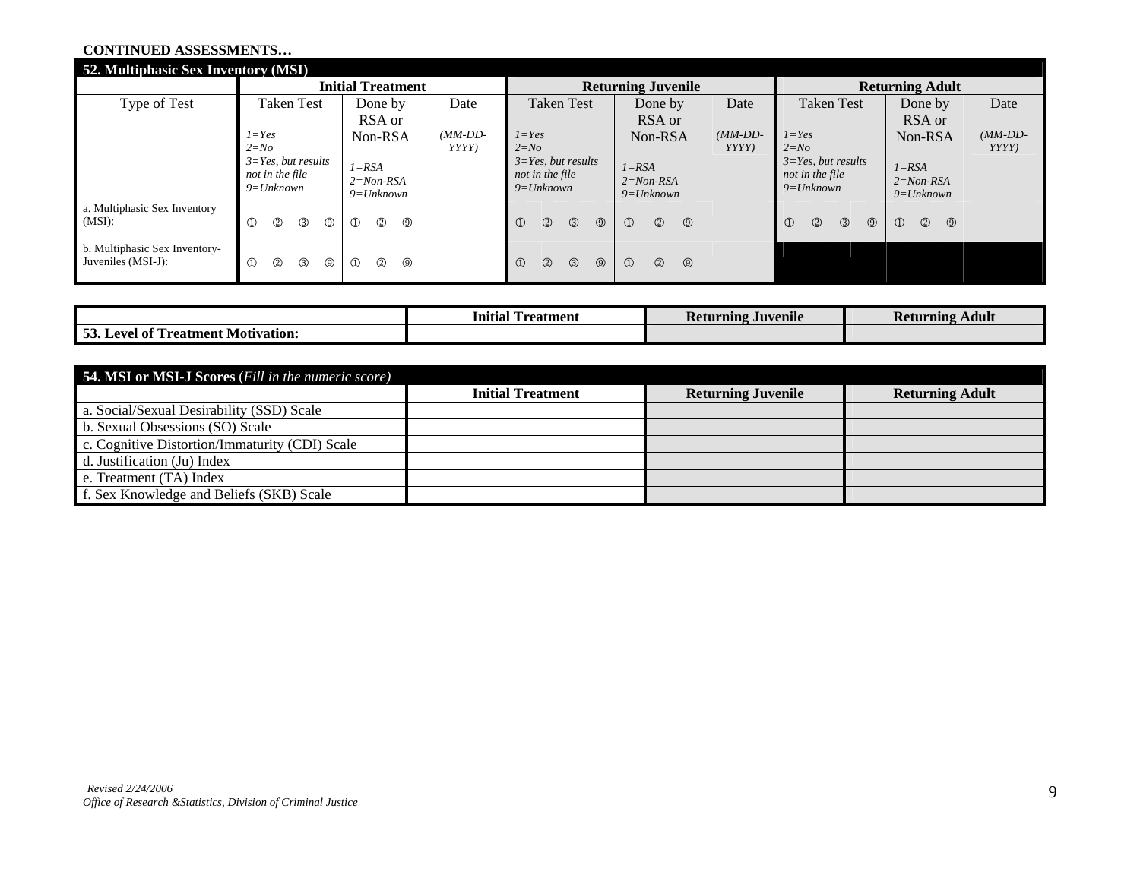#### **CONTINUED ASSESSMENTS…**

| 52. Multiphasic Sex Inventory (MSI)                 |                                                                     |                                                  |                    |                                                                    |                                                   |                                  |                                                                    |                                                  |                   |
|-----------------------------------------------------|---------------------------------------------------------------------|--------------------------------------------------|--------------------|--------------------------------------------------------------------|---------------------------------------------------|----------------------------------|--------------------------------------------------------------------|--------------------------------------------------|-------------------|
|                                                     |                                                                     | <b>Initial Treatment</b>                         |                    |                                                                    | <b>Returning Juvenile</b>                         |                                  |                                                                    | <b>Returning Adult</b>                           |                   |
| Type of Test                                        | <b>Taken Test</b>                                                   | Done by                                          | Date               | <b>Taken Test</b>                                                  | Done by                                           | Date                             | <b>Taken Test</b>                                                  | Done by                                          | Date              |
|                                                     |                                                                     | RSA or                                           |                    |                                                                    | RSA or                                            |                                  |                                                                    | RSA or                                           |                   |
|                                                     | $I = Yes$<br>$2 = No$                                               | Non-RSA                                          | $(MM-DD-$<br>YYYY) | $1 = Yes$<br>$2 = No$                                              | Non-RSA                                           | $(MM\text{-}DD\text{-}$<br>YYYYY | $1 = Yes$<br>$2 = No$                                              | Non-RSA                                          | $(MM-DD-$<br>YYYY |
|                                                     | $3 = Yes$ , but results<br>not in the file<br>$9 = Unknown$         | $I = RSA$<br>$2 = Non-RSA$<br>$9 = Unknown$      |                    | $3 = Yes$ , but results<br>not in the file<br>$9=Unknown$          | $I = RSA$<br>$2 = Non-RSA$<br>$9=Unknown$         |                                  | $3 = Yes$ , but results<br>not in the file<br>$9=Unknown$          | $I = RSA$<br>$2 = Non-RSA$<br>$9=Unknown$        |                   |
| a. Multiphasic Sex Inventory<br>(MSI):              | $^{\circledR}$<br>$^{\circledR}$<br>$^{\circledR}$<br>③             | $\circled{2}$<br>$\circled{1}$<br>$\circledcirc$ |                    | $\circled{1}$<br>$\circledcirc$<br>$\circled{3}$<br>$\circledcirc$ | $\circled{2}$<br>$\circledcirc$<br>$\circled{1}$  |                                  | $\circled{1}$<br>$^{\circledR}$<br>$\circled{3}$<br>$\circledcirc$ | $\circled{1}$<br>$\circledcirc$<br>$\circled{0}$ |                   |
| b. Multiphasic Sex Inventory-<br>Juveniles (MSI-J): | $^{\circledR}$<br>$^{\circledR}$<br>$^{\circledR}$<br>$\circled{3}$ | $\circled{1}$<br>$^{\circledR}$<br>⊚             |                    | $\circled{1}$<br>$\circledcirc$<br>$\circled{3}$<br>$\circledcirc$ | $\circledcirc$<br>$\circledcirc$<br>$\circled{1}$ |                                  |                                                                    |                                                  |                   |

|                                                         | <b>CONTRACT</b><br>$\cdot \cdot$<br>Initial<br><b>Teatment</b> | Juvenile<br>Returning | Adult<br><b>Returning</b> |
|---------------------------------------------------------|----------------------------------------------------------------|-----------------------|---------------------------|
| $\alpha$ and<br>Motivation:<br>'reatment<br>evel<br>-ot |                                                                |                       |                           |

| <b>54. MSI or MSI-J Scores</b> (Fill in the numeric score) |                          |                           |                        |
|------------------------------------------------------------|--------------------------|---------------------------|------------------------|
|                                                            | <b>Initial Treatment</b> | <b>Returning Juvenile</b> | <b>Returning Adult</b> |
| a. Social/Sexual Desirability (SSD) Scale                  |                          |                           |                        |
| b. Sexual Obsessions (SO) Scale                            |                          |                           |                        |
| c. Cognitive Distortion/Immaturity (CDI) Scale             |                          |                           |                        |
| d. Justification (Ju) Index                                |                          |                           |                        |
| e. Treatment (TA) Index                                    |                          |                           |                        |
| f. Sex Knowledge and Beliefs (SKB) Scale                   |                          |                           |                        |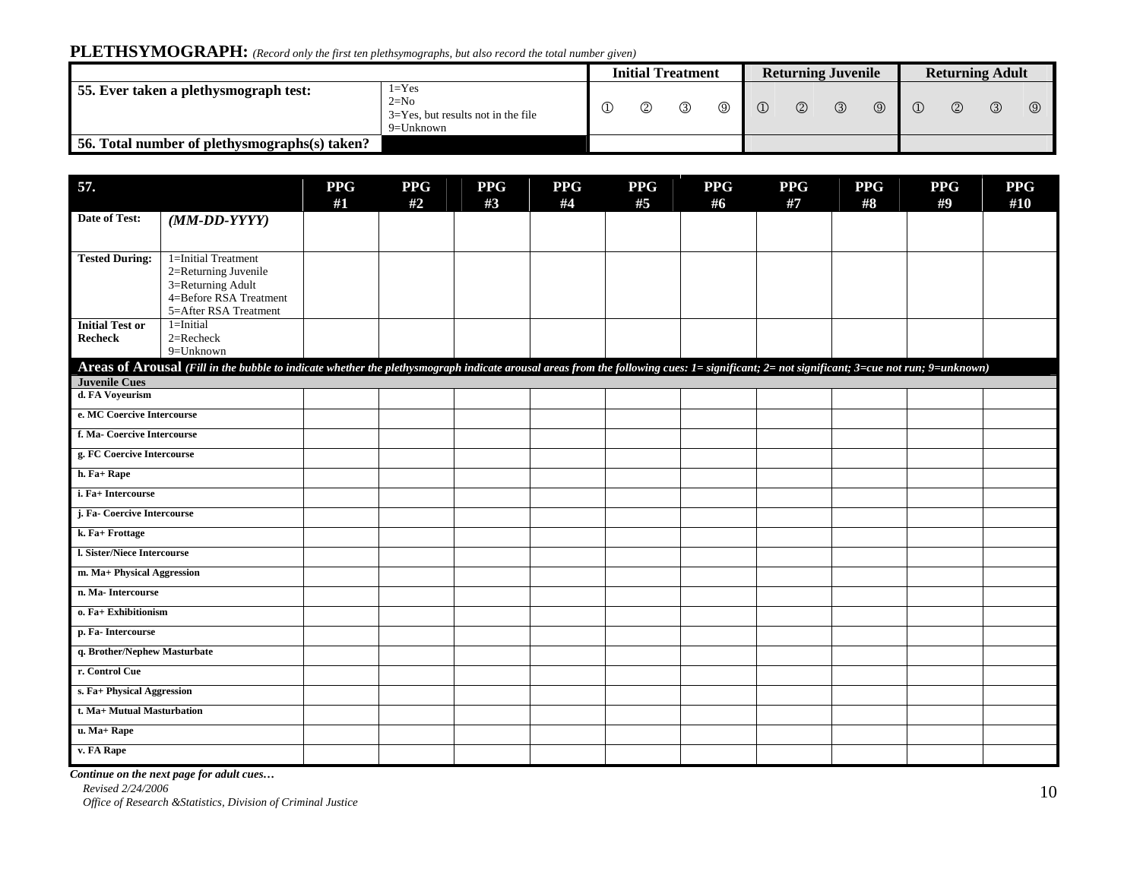# **PLETHSYMOGRAPH:** *(Record only the first ten plethsymographs, but also record the total number given)*

|                                               |               |   | <b>Initial Treatment</b> |          |               | <b>Returning Juvenile</b> |               |     | <b>Returning Adult</b> |  |  |
|-----------------------------------------------|---------------|---|--------------------------|----------|---------------|---------------------------|---------------|-----|------------------------|--|--|
| 55. Ever taken a plethysmograph test:         | $\circled{2}$ | ③ | $^{\circledR}$           | $\Omega$ | $\circled{2}$ | $\circled{3}$             | $\circled{9}$ | (2) | ③                      |  |  |
| 56. Total number of plethysmographs(s) taken? |               |   |                          |          |               |                           |               |     |                        |  |  |

| 57.                          |                                                                                                                                                                                           | <b>PPG</b> | <b>PPG</b> | <b>PPG</b> | <b>PPG</b> | <b>PPG</b> | <b>PPG</b> | <b>PPG</b> | <b>PPG</b> | <b>PPG</b> | <b>PPG</b> |
|------------------------------|-------------------------------------------------------------------------------------------------------------------------------------------------------------------------------------------|------------|------------|------------|------------|------------|------------|------------|------------|------------|------------|
|                              |                                                                                                                                                                                           | #1         | #2         | #3         | #4         | #5         | #6         | #7         | #8         | #9         | #10        |
| Date of Test:                | $(MM\text{-}DD\text{-}YYYY)$                                                                                                                                                              |            |            |            |            |            |            |            |            |            |            |
|                              |                                                                                                                                                                                           |            |            |            |            |            |            |            |            |            |            |
| <b>Tested During:</b>        | 1=Initial Treatment                                                                                                                                                                       |            |            |            |            |            |            |            |            |            |            |
|                              | 2=Returning Juvenile                                                                                                                                                                      |            |            |            |            |            |            |            |            |            |            |
|                              | 3=Returning Adult<br>4=Before RSA Treatment                                                                                                                                               |            |            |            |            |            |            |            |            |            |            |
|                              | 5=After RSA Treatment                                                                                                                                                                     |            |            |            |            |            |            |            |            |            |            |
| <b>Initial Test or</b>       | $1 =$ Initial                                                                                                                                                                             |            |            |            |            |            |            |            |            |            |            |
| <b>Recheck</b>               | 2=Recheck                                                                                                                                                                                 |            |            |            |            |            |            |            |            |            |            |
|                              | $9 =$ Unknown                                                                                                                                                                             |            |            |            |            |            |            |            |            |            |            |
|                              | Areas of Arousal (Fill in the bubble to indicate whether the plethysmograph indicate arousal areas from the following cues: 1= significant; 2= not significant; 3=cue not run; 9=unknown) |            |            |            |            |            |            |            |            |            |            |
| <b>Juvenile Cues</b>         |                                                                                                                                                                                           |            |            |            |            |            |            |            |            |            |            |
| d. FA Voyeurism              |                                                                                                                                                                                           |            |            |            |            |            |            |            |            |            |            |
| e. MC Coercive Intercourse   |                                                                                                                                                                                           |            |            |            |            |            |            |            |            |            |            |
| f. Ma- Coercive Intercourse  |                                                                                                                                                                                           |            |            |            |            |            |            |            |            |            |            |
| g. FC Coercive Intercourse   |                                                                                                                                                                                           |            |            |            |            |            |            |            |            |            |            |
| h. Fa+ Rape                  |                                                                                                                                                                                           |            |            |            |            |            |            |            |            |            |            |
| i. Fa+ Intercourse           |                                                                                                                                                                                           |            |            |            |            |            |            |            |            |            |            |
| j. Fa-Coercive Intercourse   |                                                                                                                                                                                           |            |            |            |            |            |            |            |            |            |            |
| k. Fa+ Frottage              |                                                                                                                                                                                           |            |            |            |            |            |            |            |            |            |            |
| l. Sister/Niece Intercourse  |                                                                                                                                                                                           |            |            |            |            |            |            |            |            |            |            |
| m. Ma+ Physical Aggression   |                                                                                                                                                                                           |            |            |            |            |            |            |            |            |            |            |
| n. Ma-Intercourse            |                                                                                                                                                                                           |            |            |            |            |            |            |            |            |            |            |
| o. Fa+ Exhibitionism         |                                                                                                                                                                                           |            |            |            |            |            |            |            |            |            |            |
| p. Fa-Intercourse            |                                                                                                                                                                                           |            |            |            |            |            |            |            |            |            |            |
| q. Brother/Nephew Masturbate |                                                                                                                                                                                           |            |            |            |            |            |            |            |            |            |            |
| r. Control Cue               |                                                                                                                                                                                           |            |            |            |            |            |            |            |            |            |            |
| s. Fa+ Physical Aggression   |                                                                                                                                                                                           |            |            |            |            |            |            |            |            |            |            |
| t. Ma+ Mutual Masturbation   |                                                                                                                                                                                           |            |            |            |            |            |            |            |            |            |            |
| u. Ma+ Rape                  |                                                                                                                                                                                           |            |            |            |            |            |            |            |            |            |            |
| v. FA Rape                   |                                                                                                                                                                                           |            |            |            |            |            |            |            |            |            |            |

*Continue on the next page for adult cues…*

*Revised 2/24/2006* 

*Revised 2/24/2006 Construction of Criminal Justice 10 J Office of Research &Statistics, Division of Criminal Justice* **10** *Office of Research &Statistics, Division of Criminal Justice*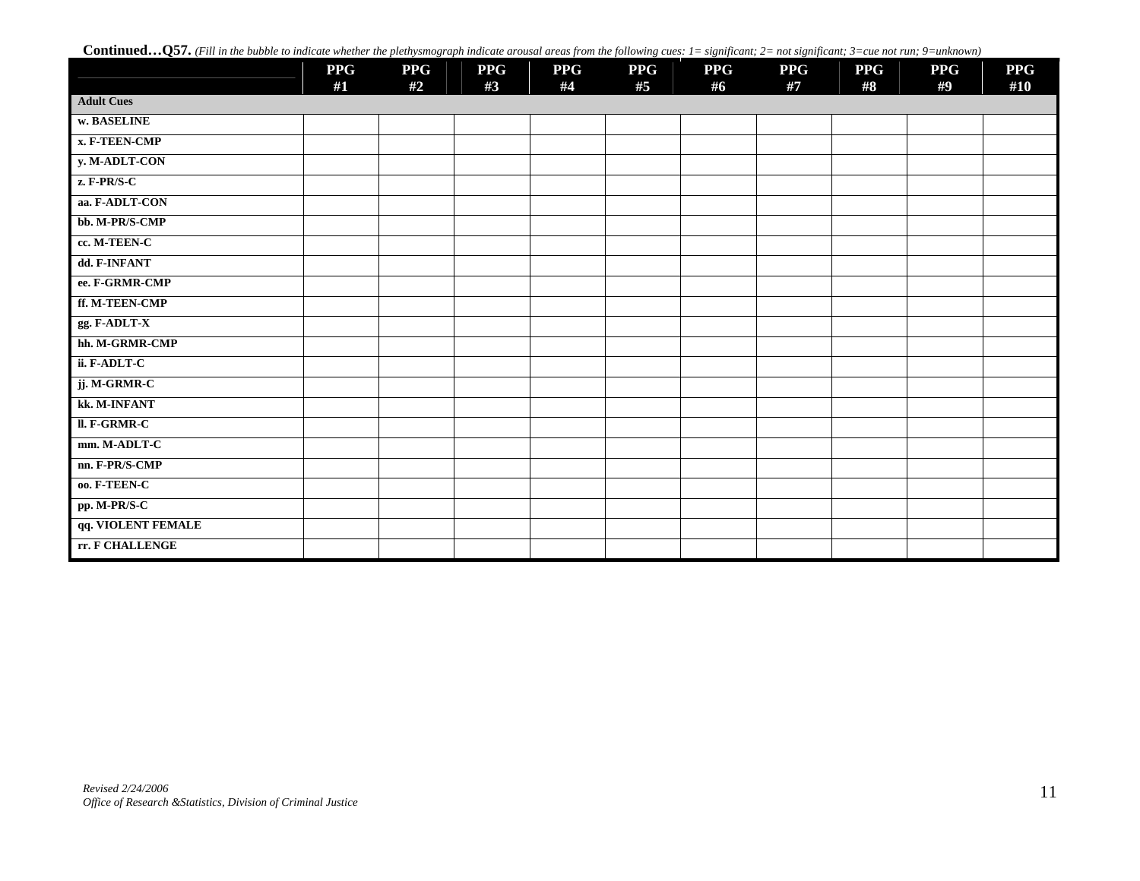Continued...Q57. *(Fill in the bubble to indicate whether the plethysmograph indicate arousal areas from the following cues: 1= significant; 2= not significant; 3=cue not run; 9=unknown)* 

|                    | <b>PPG</b><br>#1 | <b>PPG</b><br>#2 | <b>PPG</b><br>#3 | <b>PPG</b><br>#4 | <b>PPG</b><br>#5 | <b>PPG</b><br>#6 | <b>PPG</b><br>#7 | <b>PPG</b><br>#8 | <b>PPG</b><br>#9 | <b>PPG</b><br>#10 |
|--------------------|------------------|------------------|------------------|------------------|------------------|------------------|------------------|------------------|------------------|-------------------|
| <b>Adult Cues</b>  |                  |                  |                  |                  |                  |                  |                  |                  |                  |                   |
| w. BASELINE        |                  |                  |                  |                  |                  |                  |                  |                  |                  |                   |
| x. F-TEEN-CMP      |                  |                  |                  |                  |                  |                  |                  |                  |                  |                   |
| y. M-ADLT-CON      |                  |                  |                  |                  |                  |                  |                  |                  |                  |                   |
| $z$ . F-PR/S-C     |                  |                  |                  |                  |                  |                  |                  |                  |                  |                   |
| aa. F-ADLT-CON     |                  |                  |                  |                  |                  |                  |                  |                  |                  |                   |
| bb. M-PR/S-CMP     |                  |                  |                  |                  |                  |                  |                  |                  |                  |                   |
| cc. M-TEEN-C       |                  |                  |                  |                  |                  |                  |                  |                  |                  |                   |
| dd. F-INFANT       |                  |                  |                  |                  |                  |                  |                  |                  |                  |                   |
| ee. F-GRMR-CMP     |                  |                  |                  |                  |                  |                  |                  |                  |                  |                   |
| ff. M-TEEN-CMP     |                  |                  |                  |                  |                  |                  |                  |                  |                  |                   |
| gg. F-ADLT-X       |                  |                  |                  |                  |                  |                  |                  |                  |                  |                   |
| hh. M-GRMR-CMP     |                  |                  |                  |                  |                  |                  |                  |                  |                  |                   |
| ii. F-ADLT-C       |                  |                  |                  |                  |                  |                  |                  |                  |                  |                   |
| jj. M-GRMR-C       |                  |                  |                  |                  |                  |                  |                  |                  |                  |                   |
| kk. M-INFANT       |                  |                  |                  |                  |                  |                  |                  |                  |                  |                   |
| II. F-GRMR-C       |                  |                  |                  |                  |                  |                  |                  |                  |                  |                   |
| mm. M-ADLT-C       |                  |                  |                  |                  |                  |                  |                  |                  |                  |                   |
| nn. F-PR/S-CMP     |                  |                  |                  |                  |                  |                  |                  |                  |                  |                   |
| 00. F-TEEN-C       |                  |                  |                  |                  |                  |                  |                  |                  |                  |                   |
| pp. M-PR/S-C       |                  |                  |                  |                  |                  |                  |                  |                  |                  |                   |
| qq. VIOLENT FEMALE |                  |                  |                  |                  |                  |                  |                  |                  |                  |                   |
| rr. F CHALLENGE    |                  |                  |                  |                  |                  |                  |                  |                  |                  |                   |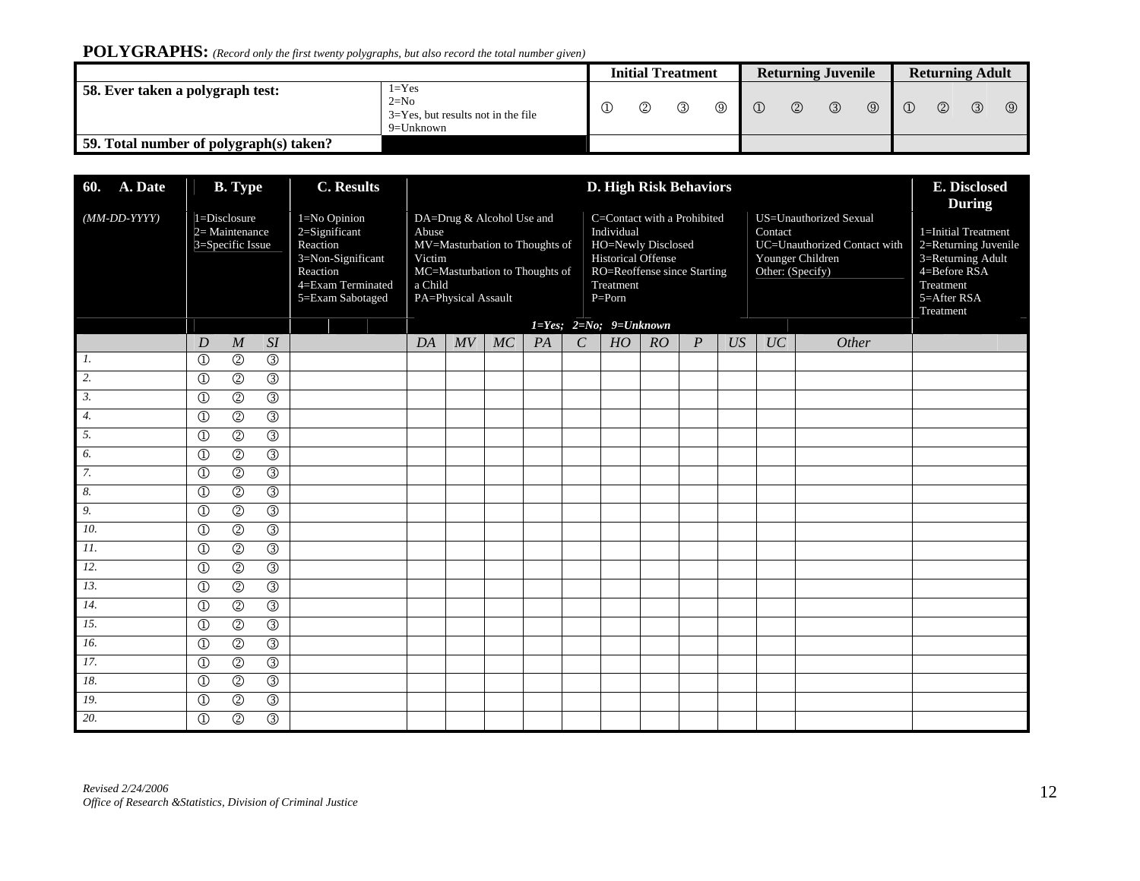# **POLYGRAPHS:** *(Record only the first twenty polygraphs, but also record the total number given)*

|                                         |                                                                             |  |  | <b>Initial Treatment</b> |              |          | <b>Returning Juvenile</b> |               |             |          |               | <b>Returning Adult</b> |                |
|-----------------------------------------|-----------------------------------------------------------------------------|--|--|--------------------------|--------------|----------|---------------------------|---------------|-------------|----------|---------------|------------------------|----------------|
| 58. Ever taken a polygraph test:        | $1 = Yes$<br>$2=N0$<br>$3 = Yes$ , but results not in the file<br>9=Unknown |  |  |                          | $^\circledR$ | $\Omega$ | $\circledcirc$            | $\circled{3}$ | $\circledS$ | $\Omega$ | $\circled{2}$ | $\circled{3}$          | $\circledcirc$ |
| 59. Total number of polygraph(s) taken? |                                                                             |  |  |                          |              |          |                           |               |             |          |               |                        |                |

| <b>60.</b> A. Date           |                         | <b>B.</b> Type                                     |                           | <b>C.</b> Results                                                                                                   |                            |                                                                                                                      |    |    |               | <b>D. High Risk Behaviors</b>                                                                                                                                                       |    |                  |    |                             |                                                                            | E. Disclosed<br><b>During</b>                                                                                             |
|------------------------------|-------------------------|----------------------------------------------------|---------------------------|---------------------------------------------------------------------------------------------------------------------|----------------------------|----------------------------------------------------------------------------------------------------------------------|----|----|---------------|-------------------------------------------------------------------------------------------------------------------------------------------------------------------------------------|----|------------------|----|-----------------------------|----------------------------------------------------------------------------|---------------------------------------------------------------------------------------------------------------------------|
| $(MM\text{-}DD\text{-}YYYY)$ |                         | 1=Disclosure<br>2= Maintenance<br>3=Specific Issue |                           | 1=No Opinion<br>2=Significant<br>Reaction<br>3=Non-Significant<br>Reaction<br>4=Exam Terminated<br>5=Exam Sabotaged | Abuse<br>Victim<br>a Child | DA=Drug & Alcohol Use and<br>MV=Masturbation to Thoughts of<br>MC=Masturbation to Thoughts of<br>PA=Physical Assault |    |    |               | C=Contact with a Prohibited<br>Individual<br>HO=Newly Disclosed<br><b>Historical Offense</b><br>RO=Reoffense since Starting<br>Treatment<br>$P = P$ orn<br>$I=Yes; 2=No; 9=Unknown$ |    |                  |    | Contact<br>Other: (Specify) | US=Unauthorized Sexual<br>UC=Unauthorized Contact with<br>Younger Children | 1=Initial Treatment<br>2=Returning Juvenile<br>3=Returning Adult<br>4=Before RSA<br>Treatment<br>5=After RSA<br>Treatment |
|                              | $\boldsymbol{D}$        | $\boldsymbol{M}$                                   | SI                        |                                                                                                                     | DA                         | MV                                                                                                                   | MC | PA | $\mathcal{C}$ | HO                                                                                                                                                                                  | RO | $\boldsymbol{P}$ | US | UC                          | Other                                                                      |                                                                                                                           |
| $\overline{l}$ .             | $\overline{\mathbb{O}}$ | $\overline{\circ}$                                 | $\circled{3}$             |                                                                                                                     |                            |                                                                                                                      |    |    |               |                                                                                                                                                                                     |    |                  |    |                             |                                                                            |                                                                                                                           |
| $\overline{2}$ .             | $\circled{1}$           | $^{\circledR}$                                     | $\overline{\circ}$        |                                                                                                                     |                            |                                                                                                                      |    |    |               |                                                                                                                                                                                     |    |                  |    |                             |                                                                            |                                                                                                                           |
| $\overline{\mathbf{3}}$ .    | $\overline{\bigcirc}$   | $\circledcirc$                                     | $\circled{3}$             |                                                                                                                     |                            |                                                                                                                      |    |    |               |                                                                                                                                                                                     |    |                  |    |                             |                                                                            |                                                                                                                           |
| $\overline{4}$ .             | $\circled{1}$           | $\overline{\circ}$                                 | $\overline{\circ}$        |                                                                                                                     |                            |                                                                                                                      |    |    |               |                                                                                                                                                                                     |    |                  |    |                             |                                                                            |                                                                                                                           |
| $\overline{5}$ .             | $\circled{1}$           | $\overline{\circ}$                                 | $\overline{\circ}$        |                                                                                                                     |                            |                                                                                                                      |    |    |               |                                                                                                                                                                                     |    |                  |    |                             |                                                                            |                                                                                                                           |
| 6.                           | $\overline{\mathbb{O}}$ | $\circledcirc$                                     | $\circled{3}$             |                                                                                                                     |                            |                                                                                                                      |    |    |               |                                                                                                                                                                                     |    |                  |    |                             |                                                                            |                                                                                                                           |
| 7.                           | $\overline{\mathbb{O}}$ | $\circledcirc$                                     | $\circledS$               |                                                                                                                     |                            |                                                                                                                      |    |    |               |                                                                                                                                                                                     |    |                  |    |                             |                                                                            |                                                                                                                           |
| 8.                           | $\mathbb{O}$            | $\overline{\circ}$                                 | $\overline{\circ}$        |                                                                                                                     |                            |                                                                                                                      |    |    |               |                                                                                                                                                                                     |    |                  |    |                             |                                                                            |                                                                                                                           |
| 9.                           | $\mathbb{O}$            | $^{\circledR}$                                     | $\circledS$               |                                                                                                                     |                            |                                                                                                                      |    |    |               |                                                                                                                                                                                     |    |                  |    |                             |                                                                            |                                                                                                                           |
| 10.                          | $\mathbb{O}$            | $\overline{\circ}$                                 | $\overline{\circ}$        |                                                                                                                     |                            |                                                                                                                      |    |    |               |                                                                                                                                                                                     |    |                  |    |                             |                                                                            |                                                                                                                           |
| 11.                          | $\mathbb{O}$            | $^{\circledR}$                                     | $\circledS$               |                                                                                                                     |                            |                                                                                                                      |    |    |               |                                                                                                                                                                                     |    |                  |    |                             |                                                                            |                                                                                                                           |
| $\overline{12}$ .            | $\mathbb{O}$            | $^{\circledR}$                                     | $\circledS$               |                                                                                                                     |                            |                                                                                                                      |    |    |               |                                                                                                                                                                                     |    |                  |    |                             |                                                                            |                                                                                                                           |
| 13.                          | $\mathbb{O}$            | $^{\circledR}$                                     | $\circledS$               |                                                                                                                     |                            |                                                                                                                      |    |    |               |                                                                                                                                                                                     |    |                  |    |                             |                                                                            |                                                                                                                           |
| 14.                          | $\mathbb{O}$            | $\overline{\circ}$                                 | $\overline{\circ}$        |                                                                                                                     |                            |                                                                                                                      |    |    |               |                                                                                                                                                                                     |    |                  |    |                             |                                                                            |                                                                                                                           |
| 15.                          | $\overline{\mathbb{O}}$ | $\overline{\circ}$                                 | $\overline{\circ}$        |                                                                                                                     |                            |                                                                                                                      |    |    |               |                                                                                                                                                                                     |    |                  |    |                             |                                                                            |                                                                                                                           |
| 16.                          | $\circled{1}$           | $^{\circledR}$                                     | $\overline{\circ}$        |                                                                                                                     |                            |                                                                                                                      |    |    |               |                                                                                                                                                                                     |    |                  |    |                             |                                                                            |                                                                                                                           |
| 17.                          | $\mathbb{O}$            | $\circledcirc$                                     | $\circled{3}$             |                                                                                                                     |                            |                                                                                                                      |    |    |               |                                                                                                                                                                                     |    |                  |    |                             |                                                                            |                                                                                                                           |
| 18.                          | $\overline{\mathbb{O}}$ | $\overline{\circ}$                                 | $\circled{3}$             |                                                                                                                     |                            |                                                                                                                      |    |    |               |                                                                                                                                                                                     |    |                  |    |                             |                                                                            |                                                                                                                           |
| 19.                          | $\overline{\bigcirc}$   | $\circledcirc$                                     | $\circledS$               |                                                                                                                     |                            |                                                                                                                      |    |    |               |                                                                                                                                                                                     |    |                  |    |                             |                                                                            |                                                                                                                           |
| 20.                          | $\mathbb{O}$            | $\overline{\circ}$                                 | $\overline{\circledcirc}$ |                                                                                                                     |                            |                                                                                                                      |    |    |               |                                                                                                                                                                                     |    |                  |    |                             |                                                                            |                                                                                                                           |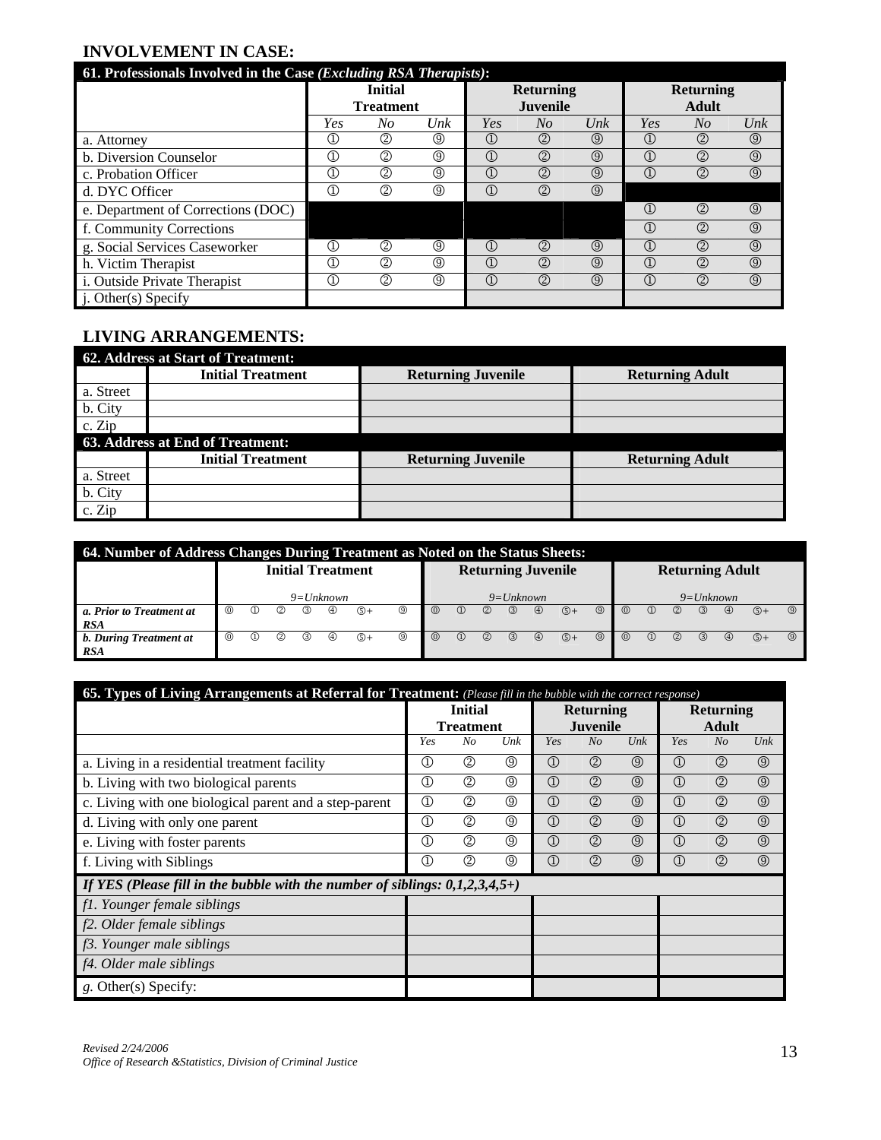# **INVOLVEMENT IN CASE:**

| 61. Professionals Involved in the Case (Excluding RSA Therapists): |                                |                  |                |                                |                  |                |                                      |                  |                |
|--------------------------------------------------------------------|--------------------------------|------------------|----------------|--------------------------------|------------------|----------------|--------------------------------------|------------------|----------------|
|                                                                    |                                | <b>Initial</b>   |                |                                | <b>Returning</b> |                |                                      | <b>Returning</b> |                |
|                                                                    |                                | <b>Treatment</b> |                |                                | <b>Juvenile</b>  |                |                                      | <b>Adult</b>     |                |
|                                                                    | Yes                            | No               | Unk            | Yes                            | No               | Unk            | Yes                                  | $N_{O}$          | Unk            |
| a. Attorney                                                        | ⊕                              | (2)              | $\circledS$    | $\textcircled{\scriptsize{1}}$ | (2)              | $\circled{0}$  | $\left( \Gamma \right)$              | ②                | $^{\circledR}$ |
| b. Diversion Counselor                                             | $\textcircled{\scriptsize{1}}$ | (2)              | $\circledS$    | $\textcircled{1}$              | (2)              | $^{\circledR}$ | $\mathbb{C}$                         | $^{\circledR}$   | $\circledS$    |
| c. Probation Officer                                               | Œ                              | (2)              | $\circledS$    | $\textcircled{1}$              | (2)              | $\circled{0}$  | $\left( \widehat{1} \right)$         | $^{\circledR}$   | $\circled{0}$  |
| d. DYC Officer                                                     | Œ,                             | $^{\circledR}$   | $\circledS$    | $\textcircled{1}$              | (2)              | $\circled{0}$  |                                      |                  |                |
| e. Department of Corrections (DOC)                                 |                                |                  |                |                                |                  |                | $\mathbb{C}$                         | (2)              | $\circledcirc$ |
| f. Community Corrections                                           |                                |                  |                |                                |                  |                | $\textcircled{1}$                    | (2)              | $\circledS$    |
| g. Social Services Caseworker                                      | ①                              | $^{\circledR}$   | $\circledS$    | $\textcircled{\scriptsize{1}}$ | (2)              | $\circled{0}$  | $\left( \widehat{\mathbb{D}}\right)$ | (2)              | $\circledcirc$ |
| h. Victim Therapist                                                | $^\mathrm{(I)}$                | (2)              | ◎              | $\textcircled{1}$              | (2)              | $\circled{0}$  | $\mathbb{C}$                         | (2)              | $\circledS$    |
| i. Outside Private Therapist                                       | $^\copyright$                  | ②                | $^{\circledR}$ | $^{\circledR}$                 | $^{\circledR}$   | $^{\circledR}$ | $\textcircled{1}$                    | $^{\circledR}$   | $\circledcirc$ |
| j. Other(s) Specify                                                |                                |                  |                |                                |                  |                |                                      |                  |                |

# **LIVING ARRANGEMENTS:**

|           | <b>62. Address at Start of Treatment:</b> |                           |                        |
|-----------|-------------------------------------------|---------------------------|------------------------|
|           | <b>Initial Treatment</b>                  | <b>Returning Juvenile</b> | <b>Returning Adult</b> |
| a. Street |                                           |                           |                        |
| b. City   |                                           |                           |                        |
| c. Zip    |                                           |                           |                        |
|           | 63. Address at End of Treatment:          |                           |                        |
|           | <b>Initial Treatment</b>                  | <b>Returning Juvenile</b> | <b>Returning Adult</b> |
| a. Street |                                           |                           |                        |
| b. City   |                                           |                           |                        |
| c. Zip    |                                           |                           |                        |

| 64. Number of Address Changes During Treatment as Noted on the Status Sheets: |          |                        |     |               |             |                          |                |         |               |                |               |                           |                |                |                |               |                |               |                        |               |                |
|-------------------------------------------------------------------------------|----------|------------------------|-----|---------------|-------------|--------------------------|----------------|---------|---------------|----------------|---------------|---------------------------|----------------|----------------|----------------|---------------|----------------|---------------|------------------------|---------------|----------------|
|                                                                               |          |                        |     |               |             | <b>Initial Treatment</b> |                |         |               |                |               | <b>Returning Juvenile</b> |                |                |                |               |                |               | <b>Returning Adult</b> |               |                |
|                                                                               |          |                        |     |               | $9=Unknown$ |                          |                |         |               |                | $9=Unknown$   |                           |                |                |                |               |                | $9=Unknown$   |                        |               |                |
| a. Prior to Treatment at                                                      | $\omega$ | $\left(1\right)$       | (2) | $\circled{3}$ | ⊕           | $\mathbb{G}+$            | $\circledcirc$ | $\odot$ | $\Omega$      | (2)            | $\circled{3}$ | $\circledcirc$            | $\mathbb{G}^+$ | $\circledcirc$ | $^{\circ}$     | $\Omega$      | (2)            | (3)           | $\circled{4}$          | $\circledS +$ | $\circledcirc$ |
| <b>RSA</b>                                                                    |          |                        |     |               |             |                          |                |         |               |                |               |                           |                |                |                |               |                |               |                        |               |                |
| b. During Treatment at                                                        | $\odot$  | $_{\text{\tiny{(1)}}}$ | (2) | ك             | ⊕           | $\mathbb{O}^+$           | ⊚              | $\odot$ | $\circled{1}$ | $^{\circledR}$ | $\circled{3}$ | $\circledcirc$            | $\circledS +$  | $\circledcirc$ | $\circledcirc$ | $\circled{1}$ | $^{\circledR}$ | $\circled{3}$ | $\circled{4}$          | $\circledS +$ | $\circledcirc$ |
| <b>RSA</b>                                                                    |          |                        |     |               |             |                          |                |         |               |                |               |                           |                |                |                |               |                |               |                        |               |                |

| <b>65. Types of Living Arrangements at Referral for Treatment:</b> (Please fill in the bubble with the correct response) |                         |                  |                |                |                  |                   |                   |                  |                   |  |  |  |  |  |
|--------------------------------------------------------------------------------------------------------------------------|-------------------------|------------------|----------------|----------------|------------------|-------------------|-------------------|------------------|-------------------|--|--|--|--|--|
|                                                                                                                          |                         | <b>Initial</b>   |                |                | <b>Returning</b> |                   |                   | <b>Returning</b> |                   |  |  |  |  |  |
|                                                                                                                          |                         | <b>Treatment</b> |                |                | <b>Juvenile</b>  |                   |                   | <b>Adult</b>     |                   |  |  |  |  |  |
|                                                                                                                          | Yes<br>No<br>Unk<br>Yes |                  |                |                | No               | $_{\textit{Unk}}$ | Yes               | N <sub>O</sub>   | $_{\textit{Unk}}$ |  |  |  |  |  |
| a. Living in a residential treatment facility                                                                            | $^\circledR$            | ②                | $^\circledR$   | $^{\circledR}$ | $^{\circledR}$   | $\circled{0}$     | $^{\circledR}$    | $^{\circledR}$   | $\circledcirc$    |  |  |  |  |  |
| b. Living with two biological parents                                                                                    | $^\circledR$            | $^{\circledR}$   | ⊚              | $^{\circledR}$ | $^{\circledR}$   | $\circled{0}$     | $\textcircled{1}$ | $^{\circledR}$   | $\circledcirc$    |  |  |  |  |  |
| c. Living with one biological parent and a step-parent                                                                   | $^{\circledR}$          | ②                | $^{\circledR}$ | $^{\circledR}$ | $^{\circledR}$   | $\circled{0}$     | $\textcircled{1}$ | $^{\circledR}$   | $\circledcirc$    |  |  |  |  |  |
| d. Living with only one parent                                                                                           | $^{\circledR}$          | $^{\circledR}$   | $\circledS$    | $^{\circledR}$ | $^{\circledR}$   | $\circled{0}$     | $^{\circledR}$    | $^{\circledR}$   | $\circledcirc$    |  |  |  |  |  |
| e. Living with foster parents                                                                                            | $^\copyright$           | (2)              | $^\circledR$   | $^{\circledR}$ | $^{\circledR}$   | $\circled{0}$     | $\textcircled{1}$ | $^{\circledR}$   | $\circledcirc$    |  |  |  |  |  |
| f. Living with Siblings                                                                                                  | $^{\circledR}$          | $^{\circledR}$   | ⊚              | $^{\circledR}$ | $^{\circledR}$   | $\circled{0}$     | $^{\circledR}$    | $^{\circledR}$   | $\circledcirc$    |  |  |  |  |  |
| If YES (Please fill in the bubble with the number of siblings: $0,1,2,3,4,5+)$                                           |                         |                  |                |                |                  |                   |                   |                  |                   |  |  |  |  |  |
| fl. Younger female siblings                                                                                              |                         |                  |                |                |                  |                   |                   |                  |                   |  |  |  |  |  |
| f2. Older female siblings                                                                                                |                         |                  |                |                |                  |                   |                   |                  |                   |  |  |  |  |  |
| f3. Younger male siblings                                                                                                |                         |                  |                |                |                  |                   |                   |                  |                   |  |  |  |  |  |
| f4. Older male siblings                                                                                                  |                         |                  |                |                |                  |                   |                   |                  |                   |  |  |  |  |  |
| g. Other(s) Specify:                                                                                                     |                         |                  |                |                |                  |                   |                   |                  |                   |  |  |  |  |  |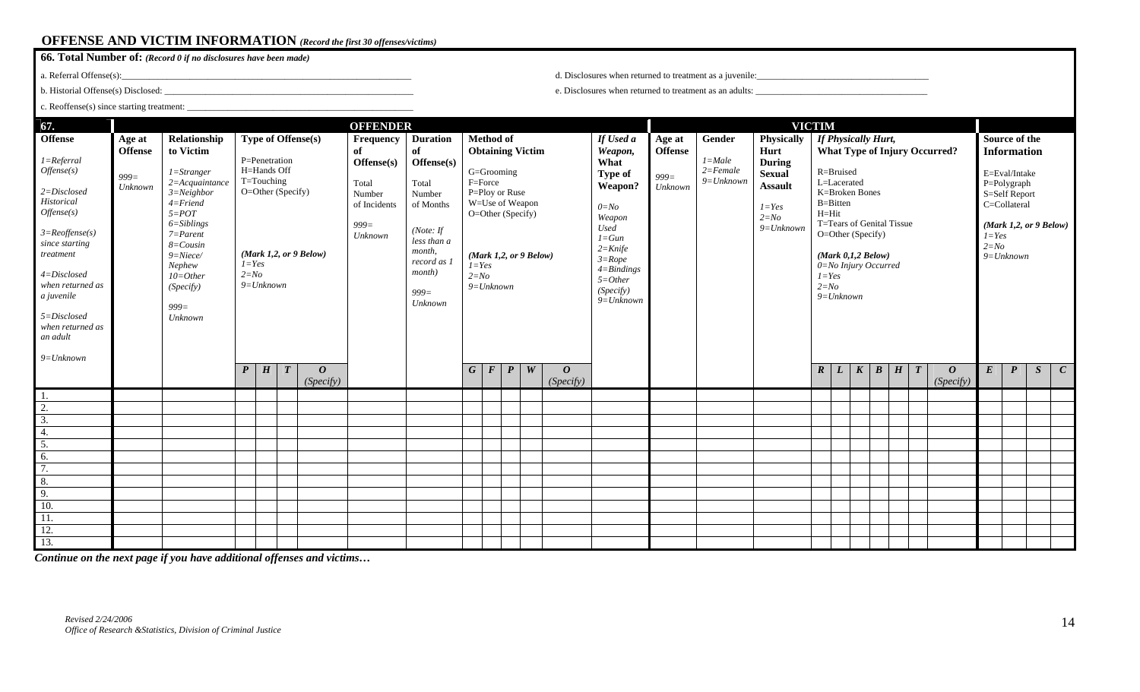# **OFFENSE AND VICTIM INFORMATION** *(Record the first 30 offenses/victims)*

| <b>66. Total Number of:</b> (Record 0 if no disclosures have been made) |  |
|-------------------------------------------------------------------------|--|
|-------------------------------------------------------------------------|--|

a. Referral Offense(s):\_\_\_\_\_\_\_\_\_\_\_\_\_\_\_\_\_\_\_\_\_\_\_\_\_\_\_\_\_\_\_\_\_\_\_\_\_\_\_\_\_\_\_\_\_\_\_\_\_\_\_\_\_\_\_\_\_\_\_\_\_\_\_\_

b. Historial Offense(s) Disclosed: \_\_\_\_\_\_\_\_\_\_\_\_\_\_\_\_\_\_\_\_\_\_\_\_\_\_\_\_\_\_\_\_\_\_\_\_\_\_\_\_\_\_\_\_\_\_\_\_\_\_\_\_\_\_\_

| c. Reoffense(s) since starting treatment:<br>67.<br><b>OFFENDER</b><br><b>VICTIM</b><br>Type of Offense(s)<br>If Physically Hurt,<br><b>Method of</b><br>Source of the |                                                |                                                                                                                                 |                  |                                                                 |                  |                                    |                                                                  |                                                                                             |                  |                                                                                                             |                              |                                                                                                                                |                               |                                                                |                                                |                                                     |                                                                                               |                                                                                       |                       |                               |                  |   |                     |                                      |                  |                                                                                     |   |              |
|------------------------------------------------------------------------------------------------------------------------------------------------------------------------|------------------------------------------------|---------------------------------------------------------------------------------------------------------------------------------|------------------|-----------------------------------------------------------------|------------------|------------------------------------|------------------------------------------------------------------|---------------------------------------------------------------------------------------------|------------------|-------------------------------------------------------------------------------------------------------------|------------------------------|--------------------------------------------------------------------------------------------------------------------------------|-------------------------------|----------------------------------------------------------------|------------------------------------------------|-----------------------------------------------------|-----------------------------------------------------------------------------------------------|---------------------------------------------------------------------------------------|-----------------------|-------------------------------|------------------|---|---------------------|--------------------------------------|------------------|-------------------------------------------------------------------------------------|---|--------------|
|                                                                                                                                                                        |                                                |                                                                                                                                 |                  |                                                                 |                  |                                    |                                                                  |                                                                                             |                  |                                                                                                             |                              |                                                                                                                                |                               |                                                                |                                                |                                                     |                                                                                               |                                                                                       |                       |                               |                  |   |                     |                                      |                  |                                                                                     |   |              |
| <b>Offense</b><br>$1 = Ref.$<br>Offense(s)<br>$2 = Disclosed$<br>Historical<br>Offense(s)                                                                              | Age at<br><b>Offense</b><br>$999 =$<br>Unknown | Relationship<br>to Victim<br>$1 =$ Stranger<br>$2 = Acquaintance$<br>$3 = Neighbor$<br>$4 =$ Friend<br>$5 = POT$                |                  | P=Penetration<br>H=Hands Off<br>T=Touching<br>O=Other (Specify) |                  |                                    | Frequency<br>of<br>Offense(s)<br>Total<br>Number<br>of Incidents | <b>Duration</b><br>of<br>Offense(s)<br>Total<br>Number<br>of Months                         |                  | F=Force                                                                                                     | G=Grooming<br>P=Ploy or Ruse | <b>Obtaining Victim</b>                                                                                                        |                               | If Used a<br>Weapon,<br>What<br>Type of<br>Weapon?<br>$0 = No$ | Age at<br><b>Offense</b><br>$999 =$<br>Unknown | Gender<br>$1 = Male$<br>$2 = Female$<br>$9=Unknown$ | Physically<br>Hurt<br><b>During</b><br><b>Sexual</b><br><b>Assault</b><br>$1 = Yes$<br>$2=No$ | $H=Hit$                                                                               | R=Bruised<br>B=Bitten | L=Lacerated<br>K=Broken Bones |                  |   |                     | <b>What Type of Injury Occurred?</b> |                  | <b>Information</b><br>E=Eval/Intake<br>P=Polygraph<br>S=Self Report<br>C=Collateral |   |              |
| $3 = Reoffense(s)$<br>since starting<br>treatment<br>$4 = Disclosed$<br>when returned as<br>a juvenile<br>5=Disclosed<br>when returned as<br>an adult                  |                                                | $6 = Sibling$<br>$7 = Parent$<br>$8 = \text{Cousin}$<br>$9 = Niece/$<br>Nephew<br>$10=Other$<br>(Specify)<br>$999 =$<br>Unknown | $2=N_O$          | $1 = Yes$<br>$9 = Unknown$                                      |                  | (Mark 1,2, or 9 Below)             | $999 =$<br>$\ensuremath{\textit{Unknown}}\xspace$                | (Note: $If$<br>less than a<br>month.<br>record as 1<br><i>month</i> )<br>$999 =$<br>Unknown |                  | W=Use of Weapon<br>$O = Other(Specify)$<br>(Mark 1,2, or 9 Below)<br>$1 = Yes$<br>$2 = No$<br>$9 = Unknown$ |                              | Weapon<br><b>Used</b><br>$1 = Gun$<br>$2 =$ Knife<br>$3 = Rope$<br>$4 =$ Bindings<br>$5 = Other$<br>(Specify)<br>$9 = Unknown$ |                               |                                                                | $9=Unknown$                                    | $1 = Yes$<br>$2 = No$                               |                                                                                               | $O = Other(Specify)$<br>$(Mark\ 0,1,2\ Below)$<br>0=No Injury Occurred<br>$9=Unknown$ |                       | T=Tears of Genital Tissue     |                  |   | $1 = Yes$<br>$2=No$ | $9 = Unknown$                        |                  | (Mark 1,2, or 9 Below)                                                              |   |              |
| $9=Unknown$                                                                                                                                                            |                                                |                                                                                                                                 | $\boldsymbol{P}$ | H                                                               | $\boldsymbol{T}$ | $\boldsymbol{\theta}$<br>(Specify) |                                                                  |                                                                                             | $\boldsymbol{G}$ | $\boldsymbol{F}$                                                                                            | $\boldsymbol{P}$             | W                                                                                                                              | $\boldsymbol{o}$<br>(Specify) |                                                                |                                                |                                                     |                                                                                               | $\boldsymbol{R}$                                                                      | L                     | $\boldsymbol{K}$              | $\boldsymbol{B}$ | H | $\boldsymbol{T}$    | $\boldsymbol{o}$<br>(Specify)        | $\boldsymbol{E}$ | $\boldsymbol{P}$                                                                    | S | $\mathbf{C}$ |
| -1.                                                                                                                                                                    |                                                |                                                                                                                                 |                  |                                                                 |                  |                                    |                                                                  |                                                                                             |                  |                                                                                                             |                              |                                                                                                                                |                               |                                                                |                                                |                                                     |                                                                                               |                                                                                       |                       |                               |                  |   |                     |                                      |                  |                                                                                     |   |              |
| $\overline{2}$ .                                                                                                                                                       |                                                |                                                                                                                                 |                  |                                                                 |                  |                                    |                                                                  |                                                                                             |                  |                                                                                                             |                              |                                                                                                                                |                               |                                                                |                                                |                                                     |                                                                                               |                                                                                       |                       |                               |                  |   |                     |                                      |                  |                                                                                     |   |              |
| $\overline{3}$ .                                                                                                                                                       |                                                |                                                                                                                                 |                  |                                                                 |                  |                                    |                                                                  |                                                                                             |                  |                                                                                                             |                              |                                                                                                                                |                               |                                                                |                                                |                                                     |                                                                                               |                                                                                       |                       |                               |                  |   |                     |                                      |                  |                                                                                     |   |              |
| 4.                                                                                                                                                                     |                                                |                                                                                                                                 |                  |                                                                 |                  |                                    |                                                                  |                                                                                             |                  |                                                                                                             |                              |                                                                                                                                |                               |                                                                |                                                |                                                     |                                                                                               |                                                                                       |                       |                               |                  |   |                     |                                      |                  |                                                                                     |   |              |
| 5.                                                                                                                                                                     |                                                |                                                                                                                                 |                  |                                                                 |                  |                                    |                                                                  |                                                                                             |                  |                                                                                                             |                              |                                                                                                                                |                               |                                                                |                                                |                                                     |                                                                                               |                                                                                       |                       |                               |                  |   |                     |                                      |                  |                                                                                     |   |              |
| 6.                                                                                                                                                                     |                                                |                                                                                                                                 |                  |                                                                 |                  |                                    |                                                                  |                                                                                             |                  |                                                                                                             |                              |                                                                                                                                |                               |                                                                |                                                |                                                     |                                                                                               |                                                                                       |                       |                               |                  |   |                     |                                      |                  |                                                                                     |   |              |
| $\overline{7}$ .                                                                                                                                                       |                                                |                                                                                                                                 |                  |                                                                 |                  |                                    |                                                                  |                                                                                             |                  |                                                                                                             |                              |                                                                                                                                |                               |                                                                |                                                |                                                     |                                                                                               |                                                                                       |                       |                               |                  |   |                     |                                      |                  |                                                                                     |   |              |
| 8.                                                                                                                                                                     |                                                |                                                                                                                                 |                  |                                                                 |                  |                                    |                                                                  |                                                                                             |                  |                                                                                                             |                              |                                                                                                                                |                               |                                                                |                                                |                                                     |                                                                                               |                                                                                       |                       |                               |                  |   |                     |                                      |                  |                                                                                     |   |              |
| $\overline{9}$ .                                                                                                                                                       |                                                |                                                                                                                                 |                  |                                                                 |                  |                                    |                                                                  |                                                                                             |                  |                                                                                                             |                              |                                                                                                                                |                               |                                                                |                                                |                                                     |                                                                                               |                                                                                       |                       |                               |                  |   |                     |                                      |                  |                                                                                     |   |              |
| <sup>10</sup>                                                                                                                                                          |                                                |                                                                                                                                 |                  |                                                                 |                  |                                    |                                                                  |                                                                                             |                  |                                                                                                             |                              |                                                                                                                                |                               |                                                                |                                                |                                                     |                                                                                               |                                                                                       |                       |                               |                  |   |                     |                                      |                  |                                                                                     |   |              |
| $\overline{11}$ .                                                                                                                                                      |                                                |                                                                                                                                 |                  |                                                                 |                  |                                    |                                                                  |                                                                                             |                  |                                                                                                             |                              |                                                                                                                                |                               |                                                                |                                                |                                                     |                                                                                               |                                                                                       |                       |                               |                  |   |                     |                                      |                  |                                                                                     |   |              |
| <sup>12.</sup>                                                                                                                                                         |                                                |                                                                                                                                 |                  |                                                                 |                  |                                    |                                                                  |                                                                                             |                  |                                                                                                             |                              |                                                                                                                                |                               |                                                                |                                                |                                                     |                                                                                               |                                                                                       |                       |                               |                  |   |                     |                                      |                  |                                                                                     |   |              |
| 13.                                                                                                                                                                    |                                                |                                                                                                                                 |                  |                                                                 |                  |                                    |                                                                  |                                                                                             |                  |                                                                                                             |                              |                                                                                                                                |                               |                                                                |                                                |                                                     |                                                                                               |                                                                                       |                       |                               |                  |   |                     |                                      |                  |                                                                                     |   |              |

d. Disclosures when returned to treatment as a juvenile:

e. Disclosures when returned to treatment as an adults: \_\_\_\_\_\_\_\_\_\_\_\_\_\_\_\_\_\_\_\_\_\_\_\_\_\_\_\_\_\_\_\_\_\_\_\_\_\_

*Continue on the next page if you have additional offenses and victims…*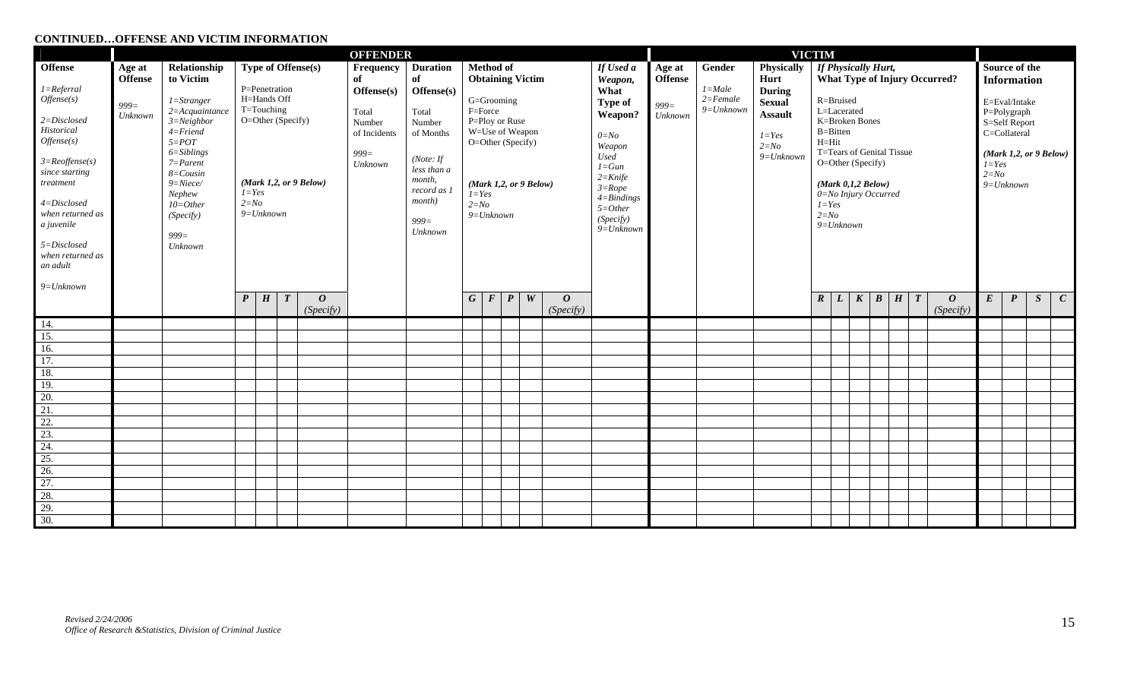#### **CONTINUED…OFFENSE AND VICTIM INFORMATION**

|                                                                                                                                                                                                                                                 | <b>OFFENDER</b>                      |                                                                                                                                                                                                                                      |                                                                                                                                   |   |                  |                               |                                                                                                                                                                                                                                                                               |  |            |                                                                                                                           |                  |           |                               |                                                                                                                                                                                   | <b>VICTIM</b>                        |                                           |                                                                                                   |                  |                                                                                                                                                                                                                                                     |                  |  |            |                  |                                                                                                                                                       |                  |                  |   |                  |  |
|-------------------------------------------------------------------------------------------------------------------------------------------------------------------------------------------------------------------------------------------------|--------------------------------------|--------------------------------------------------------------------------------------------------------------------------------------------------------------------------------------------------------------------------------------|-----------------------------------------------------------------------------------------------------------------------------------|---|------------------|-------------------------------|-------------------------------------------------------------------------------------------------------------------------------------------------------------------------------------------------------------------------------------------------------------------------------|--|------------|---------------------------------------------------------------------------------------------------------------------------|------------------|-----------|-------------------------------|-----------------------------------------------------------------------------------------------------------------------------------------------------------------------------------|--------------------------------------|-------------------------------------------|---------------------------------------------------------------------------------------------------|------------------|-----------------------------------------------------------------------------------------------------------------------------------------------------------------------------------------------------------------------------------------------------|------------------|--|------------|------------------|-------------------------------------------------------------------------------------------------------------------------------------------------------|------------------|------------------|---|------------------|--|
| <b>Offense</b>                                                                                                                                                                                                                                  | Age at                               | Relationship                                                                                                                                                                                                                         | <b>Type of Offense(s)</b>                                                                                                         |   |                  |                               |                                                                                                                                                                                                                                                                               |  |            | Frequency                                                                                                                 | <b>Duration</b>  | Method of |                               |                                                                                                                                                                                   | If Used a                            | Age at                                    | Gender                                                                                            | Physically       | <b>If Physically Hurt,</b>                                                                                                                                                                                                                          |                  |  |            |                  |                                                                                                                                                       |                  | Source of the    |   |                  |  |
| $1 = Ref.$<br>Offense(s)<br>$2 = Disclosed$<br>Historical<br>Offense(s)<br>$3 = Reoffense(s)$<br>since starting<br>treatment<br>$4 = Disclosed$<br>when returned as<br>a juvenile<br>5=Disclosed<br>when returned as<br>an adult<br>$9=Unknown$ | <b>Offense</b><br>$999 =$<br>Unknown | to Victim<br>$1 =$ Stranger<br>$2 = Acquaintance$<br>$3 = Neighbour$<br>$4 =$ Friend<br>$5 = POT$<br>$6 = Sibling$<br>$7 = Parent$<br>$8 = \text{Cousin}$<br>$9 = Niece/$<br>Nephew<br>$10=Other$<br>(Specify)<br>$999 =$<br>Unknown | P=Penetration<br>H=Hands Off<br>T=Touching<br>O=Other (Specify)<br>(Mark 1,2, or 9 Below)<br>$I = Yes$<br>$2=No$<br>$9 = Unknown$ |   |                  |                               | of<br>of<br>Offense(s)<br>Offense(s)<br>F=Force<br>Total<br>Total<br>Number<br>Number<br>of Incidents<br>of Months<br>$999 =$<br>(Note: If<br>Unknown<br>less than a<br>month,<br>record as 1<br>$I = Yes$<br><i>month</i> )<br>$2 = No$<br>$9=Unknown$<br>$999 =$<br>Unknown |  |            | <b>Obtaining Victim</b><br>G=Grooming<br>P=Ploy or Ruse<br>W=Use of Weapon<br>O=Other (Specify)<br>(Mark 1,2, or 9 Below) |                  |           |                               | Weapon,<br>What<br>Type of<br>Weapon?<br>$0 = No$<br>Weapon<br><b>Used</b><br>$1 = Gun$<br>$2 =$ Knife<br>$3 = Rope$<br>$4 =$ Bindings<br>$5 = Other$<br>(Specify)<br>$9=Unknown$ | <b>Offense</b><br>$999 =$<br>Unknown | $1 = Male$<br>$2 = Female$<br>$9=Unknown$ | Hurt<br><b>During</b><br><b>Sexual</b><br><b>Assault</b><br>$I = Yes$<br>$2=N_O$<br>$9 = Unknown$ |                  | <b>What Type of Injury Occurred?</b><br>R=Bruised<br>L=Lacerated<br>K=Broken Bones<br>B=Bitten<br>$H=Hit$<br>T=Tears of Genital Tissue<br>O=Other (Specify)<br>$(Mark\ 0,1,2\ Below)$<br>0=No Injury Occurred<br>$1 = Yes$<br>$2=No$<br>$9=Unknown$ |                  |  |            |                  | <b>Information</b><br>E=Eval/Intake<br>P=Polygraph<br>S=Self Report<br>C=Collateral<br>(Mark 1,2, or 9 Below)<br>$I = Yes$<br>$2 = No$<br>$9=Unknown$ |                  |                  |   |                  |  |
|                                                                                                                                                                                                                                                 |                                      |                                                                                                                                                                                                                                      | $\boldsymbol{P}$                                                                                                                  | H | $\boldsymbol{T}$ | $\boldsymbol{o}$<br>(Specify) |                                                                                                                                                                                                                                                                               |  | $G \mid F$ |                                                                                                                           | $\boldsymbol{P}$ | W         | $\boldsymbol{o}$<br>(Specify) |                                                                                                                                                                                   |                                      |                                           |                                                                                                   | $\boldsymbol{R}$ | $\mathbf{L}$                                                                                                                                                                                                                                        | $\boldsymbol{K}$ |  | $B \mid H$ | $\boldsymbol{T}$ | $\boldsymbol{o}$<br>(Specify)                                                                                                                         | $\boldsymbol{E}$ | $\boldsymbol{P}$ | S | $\boldsymbol{C}$ |  |
| 14.                                                                                                                                                                                                                                             |                                      |                                                                                                                                                                                                                                      |                                                                                                                                   |   |                  |                               |                                                                                                                                                                                                                                                                               |  |            |                                                                                                                           |                  |           |                               |                                                                                                                                                                                   |                                      |                                           |                                                                                                   |                  |                                                                                                                                                                                                                                                     |                  |  |            |                  |                                                                                                                                                       |                  |                  |   |                  |  |
| $\overline{15}$ .                                                                                                                                                                                                                               |                                      |                                                                                                                                                                                                                                      |                                                                                                                                   |   |                  |                               |                                                                                                                                                                                                                                                                               |  |            |                                                                                                                           |                  |           |                               |                                                                                                                                                                                   |                                      |                                           |                                                                                                   |                  |                                                                                                                                                                                                                                                     |                  |  |            |                  |                                                                                                                                                       |                  |                  |   |                  |  |
| 16.                                                                                                                                                                                                                                             |                                      |                                                                                                                                                                                                                                      |                                                                                                                                   |   |                  |                               |                                                                                                                                                                                                                                                                               |  |            |                                                                                                                           |                  |           |                               |                                                                                                                                                                                   |                                      |                                           |                                                                                                   |                  |                                                                                                                                                                                                                                                     |                  |  |            |                  |                                                                                                                                                       |                  |                  |   |                  |  |
| $\overline{17}$ .                                                                                                                                                                                                                               |                                      |                                                                                                                                                                                                                                      |                                                                                                                                   |   |                  |                               |                                                                                                                                                                                                                                                                               |  |            |                                                                                                                           |                  |           |                               |                                                                                                                                                                                   |                                      |                                           |                                                                                                   |                  |                                                                                                                                                                                                                                                     |                  |  |            |                  |                                                                                                                                                       |                  |                  |   |                  |  |
| 18.                                                                                                                                                                                                                                             |                                      |                                                                                                                                                                                                                                      |                                                                                                                                   |   |                  |                               |                                                                                                                                                                                                                                                                               |  |            |                                                                                                                           |                  |           |                               |                                                                                                                                                                                   |                                      |                                           |                                                                                                   |                  |                                                                                                                                                                                                                                                     |                  |  |            |                  |                                                                                                                                                       |                  |                  |   |                  |  |
| 19.                                                                                                                                                                                                                                             |                                      |                                                                                                                                                                                                                                      |                                                                                                                                   |   |                  |                               |                                                                                                                                                                                                                                                                               |  |            |                                                                                                                           |                  |           |                               |                                                                                                                                                                                   |                                      |                                           |                                                                                                   |                  |                                                                                                                                                                                                                                                     |                  |  |            |                  |                                                                                                                                                       |                  |                  |   |                  |  |
| 20.                                                                                                                                                                                                                                             |                                      |                                                                                                                                                                                                                                      |                                                                                                                                   |   |                  |                               |                                                                                                                                                                                                                                                                               |  |            |                                                                                                                           |                  |           |                               |                                                                                                                                                                                   |                                      |                                           |                                                                                                   |                  |                                                                                                                                                                                                                                                     |                  |  |            |                  |                                                                                                                                                       |                  |                  |   |                  |  |
| 21.                                                                                                                                                                                                                                             |                                      |                                                                                                                                                                                                                                      |                                                                                                                                   |   |                  |                               |                                                                                                                                                                                                                                                                               |  |            |                                                                                                                           |                  |           |                               |                                                                                                                                                                                   |                                      |                                           |                                                                                                   |                  |                                                                                                                                                                                                                                                     |                  |  |            |                  |                                                                                                                                                       |                  |                  |   |                  |  |
| 22.                                                                                                                                                                                                                                             |                                      |                                                                                                                                                                                                                                      |                                                                                                                                   |   |                  |                               |                                                                                                                                                                                                                                                                               |  |            |                                                                                                                           |                  |           |                               |                                                                                                                                                                                   |                                      |                                           |                                                                                                   |                  |                                                                                                                                                                                                                                                     |                  |  |            |                  |                                                                                                                                                       |                  |                  |   |                  |  |
| 23.                                                                                                                                                                                                                                             |                                      |                                                                                                                                                                                                                                      |                                                                                                                                   |   |                  |                               |                                                                                                                                                                                                                                                                               |  |            |                                                                                                                           |                  |           |                               |                                                                                                                                                                                   |                                      |                                           |                                                                                                   |                  |                                                                                                                                                                                                                                                     |                  |  |            |                  |                                                                                                                                                       |                  |                  |   |                  |  |
| 24.                                                                                                                                                                                                                                             |                                      |                                                                                                                                                                                                                                      |                                                                                                                                   |   |                  |                               |                                                                                                                                                                                                                                                                               |  |            |                                                                                                                           |                  |           |                               |                                                                                                                                                                                   |                                      |                                           |                                                                                                   |                  |                                                                                                                                                                                                                                                     |                  |  |            |                  |                                                                                                                                                       |                  |                  |   |                  |  |
| 25.                                                                                                                                                                                                                                             |                                      |                                                                                                                                                                                                                                      |                                                                                                                                   |   |                  |                               |                                                                                                                                                                                                                                                                               |  |            |                                                                                                                           |                  |           |                               |                                                                                                                                                                                   |                                      |                                           |                                                                                                   |                  |                                                                                                                                                                                                                                                     |                  |  |            |                  |                                                                                                                                                       |                  |                  |   |                  |  |
| 26.                                                                                                                                                                                                                                             |                                      |                                                                                                                                                                                                                                      |                                                                                                                                   |   |                  |                               |                                                                                                                                                                                                                                                                               |  |            |                                                                                                                           |                  |           |                               |                                                                                                                                                                                   |                                      |                                           |                                                                                                   |                  |                                                                                                                                                                                                                                                     |                  |  |            |                  |                                                                                                                                                       |                  |                  |   |                  |  |
| 27.                                                                                                                                                                                                                                             |                                      |                                                                                                                                                                                                                                      |                                                                                                                                   |   |                  |                               |                                                                                                                                                                                                                                                                               |  |            |                                                                                                                           |                  |           |                               |                                                                                                                                                                                   |                                      |                                           |                                                                                                   |                  |                                                                                                                                                                                                                                                     |                  |  |            |                  |                                                                                                                                                       |                  |                  |   |                  |  |
| 28.                                                                                                                                                                                                                                             |                                      |                                                                                                                                                                                                                                      |                                                                                                                                   |   |                  |                               |                                                                                                                                                                                                                                                                               |  |            |                                                                                                                           |                  |           |                               |                                                                                                                                                                                   |                                      |                                           |                                                                                                   |                  |                                                                                                                                                                                                                                                     |                  |  |            |                  |                                                                                                                                                       |                  |                  |   |                  |  |
| 29.                                                                                                                                                                                                                                             |                                      |                                                                                                                                                                                                                                      |                                                                                                                                   |   |                  |                               |                                                                                                                                                                                                                                                                               |  |            |                                                                                                                           |                  |           |                               |                                                                                                                                                                                   |                                      |                                           |                                                                                                   |                  |                                                                                                                                                                                                                                                     |                  |  |            |                  |                                                                                                                                                       |                  |                  |   |                  |  |
| 30.                                                                                                                                                                                                                                             |                                      |                                                                                                                                                                                                                                      |                                                                                                                                   |   |                  |                               |                                                                                                                                                                                                                                                                               |  |            |                                                                                                                           |                  |           |                               |                                                                                                                                                                                   |                                      |                                           |                                                                                                   |                  |                                                                                                                                                                                                                                                     |                  |  |            |                  |                                                                                                                                                       |                  |                  |   |                  |  |